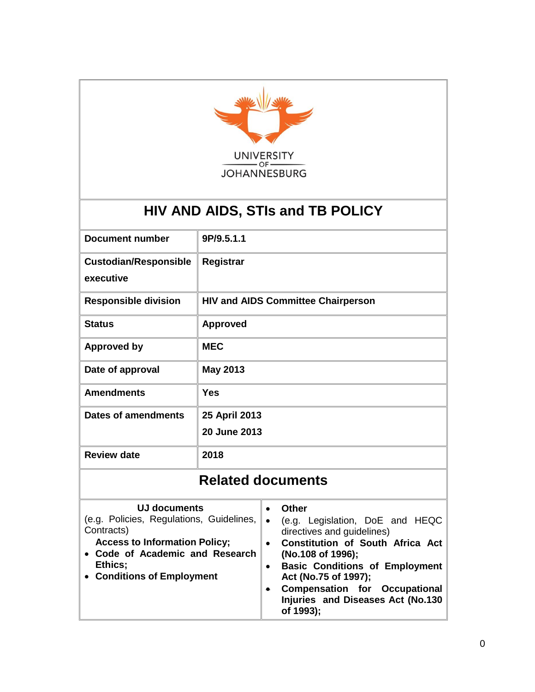

# **HIV AND AIDS, STIs and TB POLICY**

| <b>Document number</b>       | 9P/9.5.1.1                                |  |  |
|------------------------------|-------------------------------------------|--|--|
| <b>Custodian/Responsible</b> | Registrar                                 |  |  |
| executive                    |                                           |  |  |
| <b>Responsible division</b>  | <b>HIV and AIDS Committee Chairperson</b> |  |  |
| <b>Status</b>                | <b>Approved</b>                           |  |  |
| <b>Approved by</b>           | <b>MEC</b>                                |  |  |
| Date of approval             | <b>May 2013</b>                           |  |  |
| <b>Amendments</b>            | <b>Yes</b>                                |  |  |
| <b>Dates of amendments</b>   | 25 April 2013                             |  |  |
|                              | 20 June 2013                              |  |  |
| <b>Review date</b>           | 2018                                      |  |  |
| <b>Related documents</b>     |                                           |  |  |

| UJ documents<br>(e.g. Policies, Regulations, Guidelines,<br>Contracts)<br><b>Access to Information Policy;</b><br>• Code of Academic and Research<br>Ethics;<br>• Conditions of Employment | Other<br>(e.g. Legislation, DoE and HEQC<br>directives and guidelines)<br><b>Constitution of South Africa Act</b><br>$\bullet$<br>(No.108 of 1996);<br><b>Basic Conditions of Employment</b><br>$\bullet$<br>Act (No.75 of 1997);<br><b>Compensation for Occupational</b><br>$\bullet$<br>Injuries and Diseases Act (No.130<br>of 1993); |
|--------------------------------------------------------------------------------------------------------------------------------------------------------------------------------------------|------------------------------------------------------------------------------------------------------------------------------------------------------------------------------------------------------------------------------------------------------------------------------------------------------------------------------------------|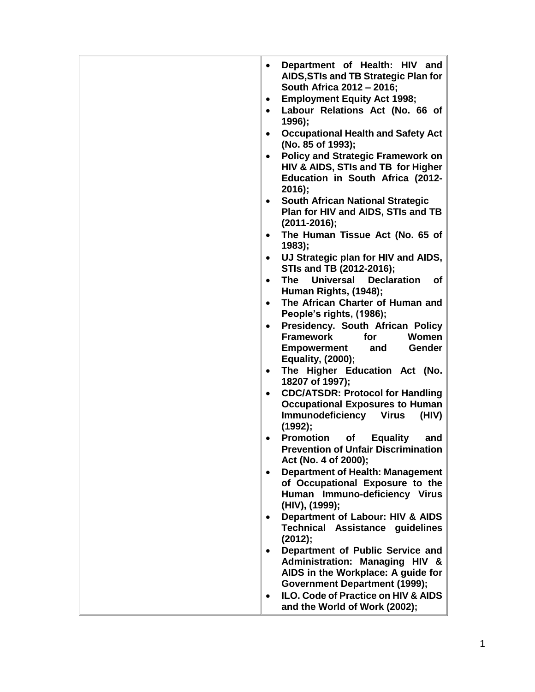| Department of Health: HIV and<br>$\bullet$<br>AIDS, STIs and TB Strategic Plan for<br>South Africa 2012 - 2016;<br><b>Employment Equity Act 1998;</b><br>$\bullet$<br>Labour Relations Act (No. 66 of<br>1996);<br><b>Occupational Health and Safety Act</b><br>(No. 85 of 1993); |
|-----------------------------------------------------------------------------------------------------------------------------------------------------------------------------------------------------------------------------------------------------------------------------------|
| <b>Policy and Strategic Framework on</b><br>HIV & AIDS, STIs and TB for Higher<br>Education in South Africa (2012-<br>$2016$ ;                                                                                                                                                    |
| <b>South African National Strategic</b><br>$\bullet$<br>Plan for HIV and AIDS, STIs and TB<br>$(2011 - 2016);$                                                                                                                                                                    |
| The Human Tissue Act (No. 65 of<br>1983;                                                                                                                                                                                                                                          |
| UJ Strategic plan for HIV and AIDS,<br>$\bullet$<br>STIs and TB (2012-2016);                                                                                                                                                                                                      |
| The Universal Declaration<br>0f<br>$\bullet$<br>Human Rights, (1948);                                                                                                                                                                                                             |
| The African Charter of Human and<br>People's rights, (1986);                                                                                                                                                                                                                      |
| Presidency. South African Policy<br>$\bullet$<br><b>Framework</b><br>for<br>Women<br><b>Empowerment</b><br>and<br><b>Gender</b><br>Equality, (2000);                                                                                                                              |
| The Higher Education Act (No.                                                                                                                                                                                                                                                     |
| 18207 of 1997);<br><b>CDC/ATSDR: Protocol for Handling</b><br>$\bullet$<br><b>Occupational Exposures to Human</b><br><b>Immunodeficiency Virus</b><br>(HIV)<br>(1992);                                                                                                            |
| <b>Promotion</b> of<br><b>Equality</b><br>and<br><b>Prevention of Unfair Discrimination</b><br>Act (No. 4 of 2000);                                                                                                                                                               |
| <b>Department of Health: Management</b><br>$\bullet$<br>of Occupational Exposure to the<br>Human Immuno-deficiency Virus<br>(HIV), (1999);                                                                                                                                        |
| Department of Labour: HIV & AIDS<br><b>Technical Assistance guidelines</b><br>(2012);                                                                                                                                                                                             |
| Department of Public Service and<br>Administration: Managing HIV &<br>AIDS in the Workplace: A guide for<br><b>Government Department (1999);</b>                                                                                                                                  |
| ILO. Code of Practice on HIV & AIDS<br>and the World of Work (2002);                                                                                                                                                                                                              |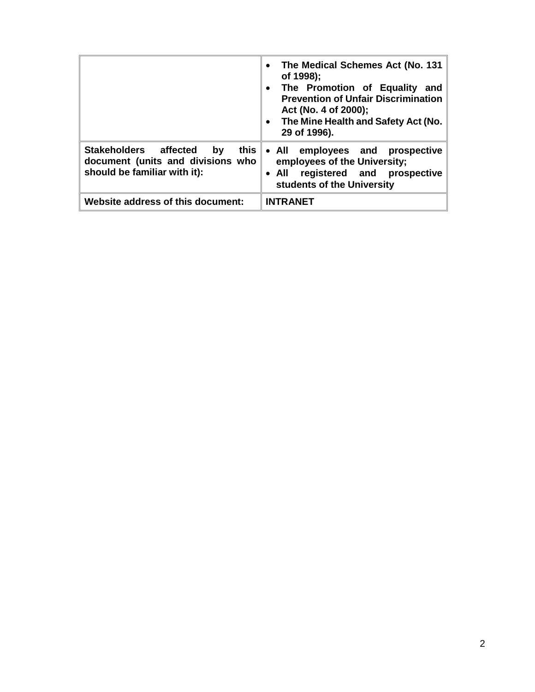|                                                                                                          | The Medical Schemes Act (No. 131<br>$\bullet$<br>of 1998);<br>The Promotion of Equality and<br>$\bullet$<br><b>Prevention of Unfair Discrimination</b><br>Act (No. 4 of 2000);<br>The Mine Health and Safety Act (No.<br>$\bullet$<br>29 of 1996). |
|----------------------------------------------------------------------------------------------------------|----------------------------------------------------------------------------------------------------------------------------------------------------------------------------------------------------------------------------------------------------|
| Stakeholders affected<br>by<br>this<br>document (units and divisions who<br>should be familiar with it): | • All employees and prospective<br>employees of the University;<br>registered and prospective<br>$\bullet$ All<br>students of the University                                                                                                       |
| Website address of this document:                                                                        | <b>INTRANET</b>                                                                                                                                                                                                                                    |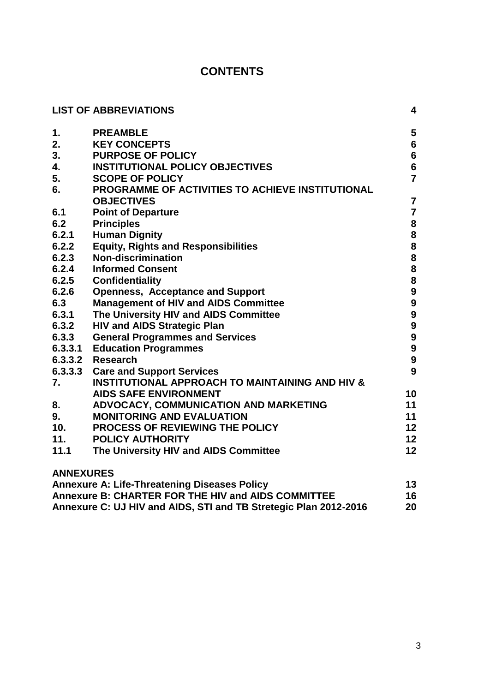# **CONTENTS**

|                  | <b>LIST OF ABBREVIATIONS</b>                                     | 4                                          |
|------------------|------------------------------------------------------------------|--------------------------------------------|
| $\mathbf 1$ .    | <b>PREAMBLE</b>                                                  | 5                                          |
| 2.               | <b>KEY CONCEPTS</b>                                              | $6\phantom{a}$                             |
| 3.               | <b>PURPOSE OF POLICY</b>                                         | $\boldsymbol{6}$                           |
| 4.               | <b>INSTITUTIONAL POLICY OBJECTIVES</b>                           | $6\phantom{a}$                             |
| 5.               | <b>SCOPE OF POLICY</b>                                           | $\overline{7}$                             |
| 6.               | PROGRAMME OF ACTIVITIES TO ACHIEVE INSTITUTIONAL                 |                                            |
|                  | <b>OBJECTIVES</b>                                                | $\overline{7}$                             |
| 6.1              | <b>Point of Departure</b>                                        | $\overline{7}$                             |
| 6.2              | <b>Principles</b>                                                | 8                                          |
| 6.2.1            | <b>Human Dignity</b>                                             | 8                                          |
| 6.2.2            | <b>Equity, Rights and Responsibilities</b>                       | 8                                          |
| 6.2.3            | <b>Non-discrimination</b>                                        | $\begin{array}{c} 8 \\ 8 \\ 8 \end{array}$ |
| 6.2.4            | <b>Informed Consent</b>                                          |                                            |
| 6.2.5            | <b>Confidentiality</b>                                           |                                            |
| 6.2.6            | <b>Openness, Acceptance and Support</b>                          | 9<br>9                                     |
| 6.3              | <b>Management of HIV and AIDS Committee</b>                      |                                            |
| 6.3.1            | The University HIV and AIDS Committee                            | 9                                          |
| 6.3.2            | <b>HIV and AIDS Strategic Plan</b>                               | 9                                          |
| 6.3.3            | <b>General Programmes and Services</b>                           | $\boldsymbol{9}$                           |
| 6.3.3.1          | <b>Education Programmes</b>                                      | $\boldsymbol{9}$                           |
|                  | 6.3.3.2 Research                                                 | $\boldsymbol{9}$                           |
|                  | 6.3.3.3 Care and Support Services                                | 9                                          |
| 7.               | <b>INSTITUTIONAL APPROACH TO MAINTAINING AND HIV &amp;</b>       |                                            |
|                  | <b>AIDS SAFE ENVIRONMENT</b>                                     | 10                                         |
| 8.               | ADVOCACY, COMMUNICATION AND MARKETING                            | 11                                         |
| 9.               | <b>MONITORING AND EVALUATION</b>                                 | 11                                         |
| 10.              | <b>PROCESS OF REVIEWING THE POLICY</b>                           | 12                                         |
| 11.              | <b>POLICY AUTHORITY</b>                                          | 12                                         |
| 11.1             | The University HIV and AIDS Committee                            | 12                                         |
| <b>ANNEXURES</b> |                                                                  |                                            |
|                  | <b>Annexure A: Life-Threatening Diseases Policy</b>              | 13                                         |
|                  | Annexure B: CHARTER FOR THE HIV and AIDS COMMITTEE               | 16                                         |
|                  | Annexure C: UJ HIV and AIDS, STI and TB Stretegic Plan 2012-2016 | 20                                         |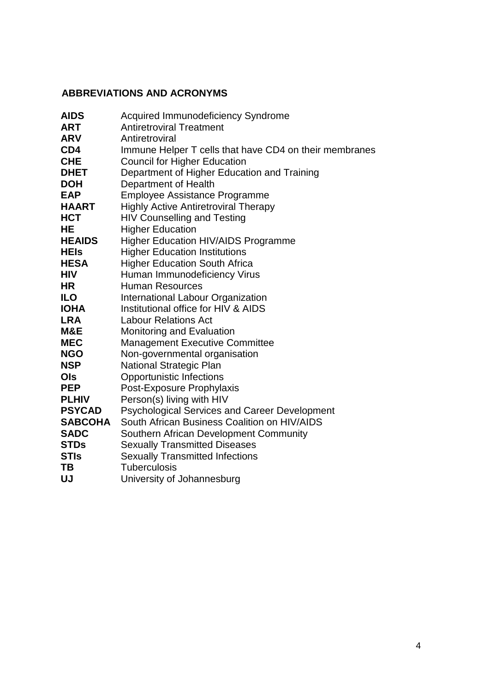# **ABBREVIATIONS AND ACRONYMS**

| <b>AIDS</b>    | <b>Acquired Immunodeficiency Syndrome</b>              |
|----------------|--------------------------------------------------------|
| <b>ART</b>     | <b>Antiretroviral Treatment</b>                        |
| <b>ARV</b>     | Antiretroviral                                         |
| CD4            | Immune Helper T cells that have CD4 on their membranes |
| <b>CHE</b>     | <b>Council for Higher Education</b>                    |
| <b>DHET</b>    | Department of Higher Education and Training            |
| <b>DOH</b>     | Department of Health                                   |
| <b>EAP</b>     | <b>Employee Assistance Programme</b>                   |
| <b>HAART</b>   | <b>Highly Active Antiretroviral Therapy</b>            |
| <b>HCT</b>     | <b>HIV Counselling and Testing</b>                     |
| HE             | <b>Higher Education</b>                                |
| <b>HEAIDS</b>  | <b>Higher Education HIV/AIDS Programme</b>             |
| <b>HEIs</b>    | <b>Higher Education Institutions</b>                   |
| <b>HESA</b>    | <b>Higher Education South Africa</b>                   |
| <b>HIV</b>     | Human Immunodeficiency Virus                           |
| <b>HR</b>      | <b>Human Resources</b>                                 |
| <b>ILO</b>     | International Labour Organization                      |
| <b>IOHA</b>    | Institutional office for HIV & AIDS                    |
| <b>LRA</b>     | <b>Labour Relations Act</b>                            |
| M&E            | Monitoring and Evaluation                              |
| <b>MEC</b>     | <b>Management Executive Committee</b>                  |
| <b>NGO</b>     | Non-governmental organisation                          |
| <b>NSP</b>     | <b>National Strategic Plan</b>                         |
| Ols            | <b>Opportunistic Infections</b>                        |
| <b>PEP</b>     | Post-Exposure Prophylaxis                              |
| <b>PLHIV</b>   | Person(s) living with HIV                              |
| <b>PSYCAD</b>  | <b>Psychological Services and Career Development</b>   |
| <b>SABCOHA</b> | South African Business Coalition on HIV/AIDS           |
| <b>SADC</b>    | Southern African Development Community                 |
| <b>STDs</b>    | <b>Sexually Transmitted Diseases</b>                   |
| <b>STIs</b>    | <b>Sexually Transmitted Infections</b>                 |
| TΒ             | <b>Tuberculosis</b>                                    |
| UJ             | University of Johannesburg                             |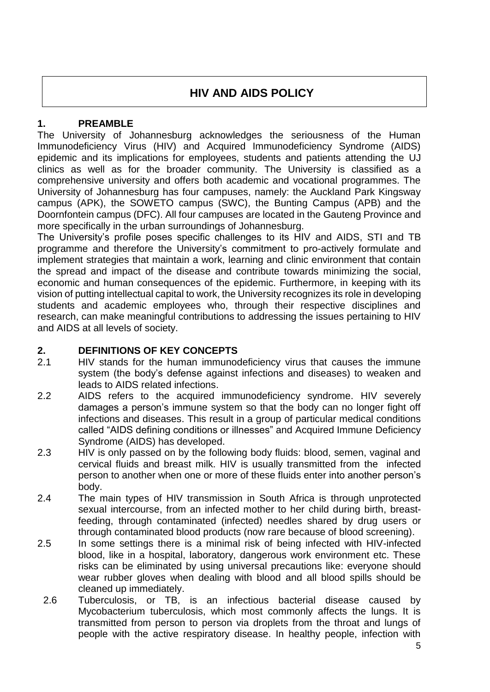# **HIV AND AIDS POLICY**

## **1. PREAMBLE**

The University of Johannesburg acknowledges the seriousness of the Human Immunodeficiency Virus (HIV) and Acquired Immunodeficiency Syndrome (AIDS) epidemic and its implications for employees, students and patients attending the UJ clinics as well as for the broader community. The University is classified as a comprehensive university and offers both academic and vocational programmes. The University of Johannesburg has four campuses, namely: the Auckland Park Kingsway campus (APK), the SOWETO campus (SWC), the Bunting Campus (APB) and the Doornfontein campus (DFC). All four campuses are located in the Gauteng Province and more specifically in the urban surroundings of Johannesburg.

The University's profile poses specific challenges to its HIV and AIDS, STI and TB programme and therefore the University's commitment to pro-actively formulate and implement strategies that maintain a work, learning and clinic environment that contain the spread and impact of the disease and contribute towards minimizing the social, economic and human consequences of the epidemic. Furthermore, in keeping with its vision of putting intellectual capital to work, the University recognizes its role in developing students and academic employees who, through their respective disciplines and research, can make meaningful contributions to addressing the issues pertaining to HIV and AIDS at all levels of society.

## **2. DEFINITIONS OF KEY CONCEPTS**

- 2.1 HIV stands for the human immunodeficiency virus that causes the immune system (the body's defense against infections and diseases) to weaken and leads to AIDS related infections.
- 2.2 AIDS refers to the acquired immunodeficiency syndrome. HIV severely damages a person's immune system so that the body can no longer fight off infections and diseases. This result in a group of particular medical conditions called "AIDS defining conditions or illnesses" and Acquired Immune Deficiency Syndrome (AIDS) has developed.
- 2.3 HIV is only passed on by the following body fluids: blood, semen, vaginal and cervical fluids and breast milk. HIV is usually transmitted from the infected person to another when one or more of these fluids enter into another person's body.
- 2.4 The main types of HIV transmission in South Africa is through unprotected sexual intercourse, from an infected mother to her child during birth, breastfeeding, through contaminated (infected) needles shared by drug users or through contaminated blood products (now rare because of blood screening).
- 2.5 In some settings there is a minimal risk of being infected with HIV-infected blood, like in a hospital, laboratory, dangerous work environment etc. These risks can be eliminated by using universal precautions like: everyone should wear rubber gloves when dealing with blood and all blood spills should be cleaned up immediately.
- 2.6 Tuberculosis, or TB, is an infectious bacterial disease caused by Mycobacterium tuberculosis, which most commonly affects the lungs. It is transmitted from person to person via droplets from the throat and lungs of people with the active respiratory disease. In healthy people, infection with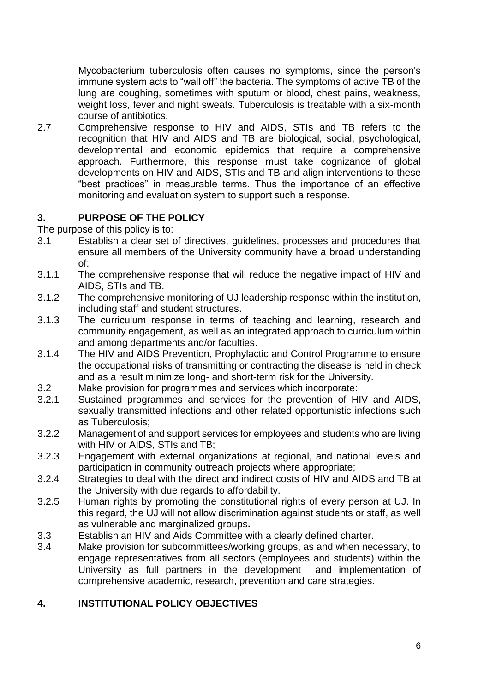Mycobacterium tuberculosis often causes no symptoms, since the person's immune system acts to "wall off" the bacteria. The symptoms of active TB of the lung are coughing, sometimes with sputum or blood, chest pains, weakness, weight loss, fever and night sweats. Tuberculosis is treatable with a six-month course of antibiotics.

2.7 Comprehensive response to HIV and AIDS, STIs and TB refers to the recognition that HIV and AIDS and TB are biological, social, psychological, developmental and economic epidemics that require a comprehensive approach. Furthermore, this response must take cognizance of global developments on HIV and AIDS, STIs and TB and align interventions to these "best practices" in measurable terms. Thus the importance of an effective monitoring and evaluation system to support such a response.

## **3. PURPOSE OF THE POLICY**

The purpose of this policy is to:

- 3.1 Establish a clear set of directives, guidelines, processes and procedures that ensure all members of the University community have a broad understanding of:
- 3.1.1 The comprehensive response that will reduce the negative impact of HIV and AIDS, STIs and TB.
- 3.1.2 The comprehensive monitoring of UJ leadership response within the institution, including staff and student structures.
- 3.1.3 The curriculum response in terms of teaching and learning, research and community engagement, as well as an integrated approach to curriculum within and among departments and/or faculties.
- 3.1.4 The HIV and AIDS Prevention, Prophylactic and Control Programme to ensure the occupational risks of transmitting or contracting the disease is held in check and as a result minimize long- and short-term risk for the University.
- 3.2 Make provision for programmes and services which incorporate:
- 3.2.1 Sustained programmes and services for the prevention of HIV and AIDS, sexually transmitted infections and other related opportunistic infections such as Tuberculosis;
- 3.2.2 Management of and support services for employees and students who are living with HIV or AIDS, STIs and TB;
- 3.2.3 Engagement with external organizations at regional, and national levels and participation in community outreach projects where appropriate;
- 3.2.4 Strategies to deal with the direct and indirect costs of HIV and AIDS and TB at the University with due regards to affordability.
- 3.2.5 Human rights by promoting the constitutional rights of every person at UJ. In this regard, the UJ will not allow discrimination against students or staff, as well as vulnerable and marginalized groups**.**
- 3.3 Establish an HIV and Aids Committee with a clearly defined charter.
- 3.4 Make provision for subcommittees/working groups, as and when necessary, to engage representatives from all sectors (employees and students) within the University as full partners in the development and implementation of comprehensive academic, research, prevention and care strategies.

# **4. INSTITUTIONAL POLICY OBJECTIVES**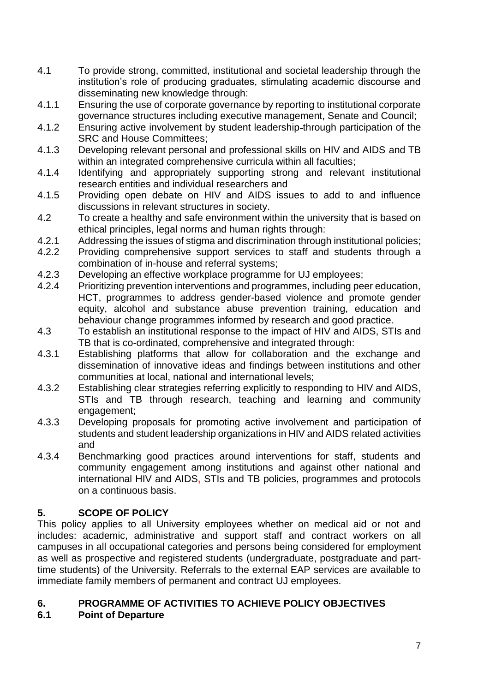- 4.1 To provide strong, committed, institutional and societal leadership through the institution's role of producing graduates, stimulating academic discourse and disseminating new knowledge through:
- 4.1.1 Ensuring the use of corporate governance by reporting to institutional corporate governance structures including executive management, Senate and Council;
- 4.1.2 Ensuring active involvement by student leadership through participation of the SRC and House Committees;
- 4.1.3 Developing relevant personal and professional skills on HIV and AIDS and TB within an integrated comprehensive curricula within all faculties;
- 4.1.4 Identifying and appropriately supporting strong and relevant institutional research entities and individual researchers and
- 4.1.5 Providing open debate on HIV and AIDS issues to add to and influence discussions in relevant structures in society.
- 4.2 To create a healthy and safe environment within the university that is based on ethical principles, legal norms and human rights through:
- 4.2.1 Addressing the issues of stigma and discrimination through institutional policies;
- 4.2.2 Providing comprehensive support services to staff and students through a combination of in-house and referral systems;
- 4.2.3 Developing an effective workplace programme for UJ employees;<br>4.2.4 Prioritizing prevention interventions and programmes, including per
- Prioritizing prevention interventions and programmes, including peer education, HCT, programmes to address gender-based violence and promote gender equity, alcohol and substance abuse prevention training, education and behaviour change programmes informed by research and good practice.
- 4.3 To establish an institutional response to the impact of HIV and AIDS, STIs and TB that is co-ordinated, comprehensive and integrated through:
- 4.3.1 Establishing platforms that allow for collaboration and the exchange and dissemination of innovative ideas and findings between institutions and other communities at local, national and international levels;
- 4.3.2 Establishing clear strategies referring explicitly to responding to HIV and AIDS, STIs and TB through research, teaching and learning and community engagement:
- 4.3.3 Developing proposals for promoting active involvement and participation of students and student leadership organizations in HIV and AIDS related activities and
- 4.3.4 Benchmarking good practices around interventions for staff, students and community engagement among institutions and against other national and international HIV and AIDS**,** STIs and TB policies, programmes and protocols on a continuous basis.

# **5. SCOPE OF POLICY**

This policy applies to all University employees whether on medical aid or not and includes: academic, administrative and support staff and contract workers on all campuses in all occupational categories and persons being considered for employment as well as prospective and registered students (undergraduate, postgraduate and parttime students) of the University. Referrals to the external EAP services are available to immediate family members of permanent and contract UJ employees.

# **6. PROGRAMME OF ACTIVITIES TO ACHIEVE POLICY OBJECTIVES**

# **6.1 Point of Departure**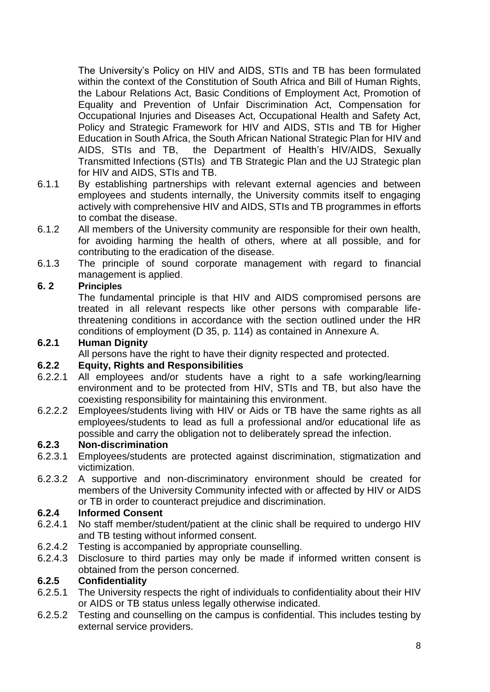The University's Policy on HIV and AIDS, STIs and TB has been formulated within the context of the Constitution of South Africa and Bill of Human Rights, the Labour Relations Act, Basic Conditions of Employment Act, Promotion of Equality and Prevention of Unfair Discrimination Act, Compensation for Occupational Injuries and Diseases Act, Occupational Health and Safety Act, Policy and Strategic Framework for HIV and AIDS, STIs and TB for Higher Education in South Africa, the South African National Strategic Plan for HIV and AIDS, STIs and TB, the Department of Health's HIV/AIDS, Sexually Transmitted Infections (STIs) and TB Strategic Plan and the UJ Strategic plan for HIV and AIDS, STIs and TB.

- 6.1.1 By establishing partnerships with relevant external agencies and between employees and students internally, the University commits itself to engaging actively with comprehensive HIV and AIDS, STIs and TB programmes in efforts to combat the disease.
- 6.1.2 All members of the University community are responsible for their own health, for avoiding harming the health of others, where at all possible, and for contributing to the eradication of the disease.
- 6.1.3 The principle of sound corporate management with regard to financial management is applied.

# **6. 2 Principles**

The fundamental principle is that HIV and AIDS compromised persons are treated in all relevant respects like other persons with comparable lifethreatening conditions in accordance with the section outlined under the HR conditions of employment (D 35, p. 114) as contained in Annexure A.

#### **6.2.1 Human Dignity**

All persons have the right to have their dignity respected and protected.

### **6.2.2 Equity, Rights and Responsibilities**

- 6.2.2.1 All employees and/or students have a right to a safe working/learning environment and to be protected from HIV, STIs and TB, but also have the coexisting responsibility for maintaining this environment.
- 6.2.2.2 Employees/students living with HIV or Aids or TB have the same rights as all employees/students to lead as full a professional and/or educational life as possible and carry the obligation not to deliberately spread the infection.

#### **6.2.3 Non-discrimination**

- 6.2.3.1 Employees/students are protected against discrimination, stigmatization and victimization.
- 6.2.3.2 A supportive and non-discriminatory environment should be created for members of the University Community infected with or affected by HIV or AIDS or TB in order to counteract prejudice and discrimination.

### **6.2.4 Informed Consent**

- 6.2.4.1 No staff member/student/patient at the clinic shall be required to undergo HIV and TB testing without informed consent.
- 6.2.4.2 Testing is accompanied by appropriate counselling.
- 6.2.4.3 Disclosure to third parties may only be made if informed written consent is obtained from the person concerned.

# **6.2.5 Confidentiality**

- 6.2.5.1 The University respects the right of individuals to confidentiality about their HIV or AIDS or TB status unless legally otherwise indicated.
- 6.2.5.2 Testing and counselling on the campus is confidential. This includes testing by external service providers.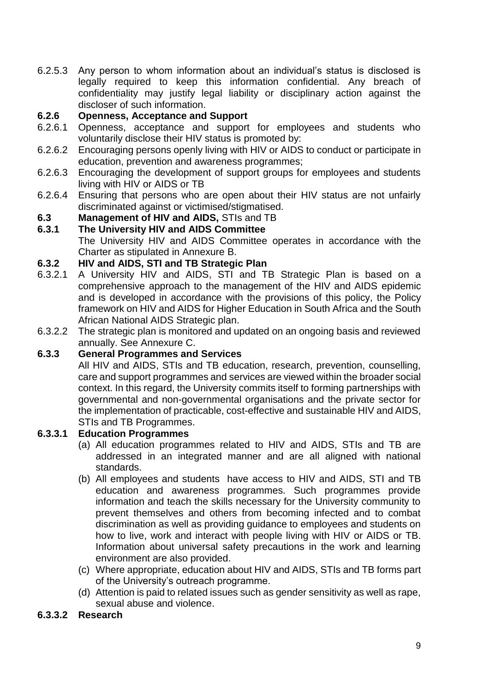6.2.5.3 Any person to whom information about an individual's status is disclosed is legally required to keep this information confidential. Any breach of confidentiality may justify legal liability or disciplinary action against the discloser of such information.

## **6.2.6 Openness, Acceptance and Support**

- 6.2.6.1 Openness, acceptance and support for employees and students who voluntarily disclose their HIV status is promoted by:
- 6.2.6.2 Encouraging persons openly living with HIV or AIDS to conduct or participate in education, prevention and awareness programmes;
- 6.2.6.3 Encouraging the development of support groups for employees and students living with HIV or AIDS or TB
- 6.2.6.4 Ensuring that persons who are open about their HIV status are not unfairly discriminated against or victimised/stigmatised.

# **6.3 Management of HIV and AIDS, STIs and TB**<br>**6.3.1** The University HIV and AIDS Committee

**6.3.1 The University HIV and AIDS Committee** The University HIV and AIDS Committee operates in accordance with the Charter as stipulated in Annexure B.

#### **6.3.2 HIV and AIDS, STI and TB Strategic Plan**

- 6.3.2.1 A University HIV and AIDS**,** STI and TB Strategic Plan is based on a comprehensive approach to the management of the HIV and AIDS epidemic and is developed in accordance with the provisions of this policy, the Policy framework on HIV and AIDS for Higher Education in South Africa and the South African National AIDS Strategic plan.
- 6.3.2.2 The strategic plan is monitored and updated on an ongoing basis and reviewed annually. See Annexure C.

### **6.3.3 General Programmes and Services**

All HIV and AIDS, STIs and TB education, research, prevention, counselling, care and support programmes and services are viewed within the broader social context. In this regard, the University commits itself to forming partnerships with governmental and non-governmental organisations and the private sector for the implementation of practicable, cost-effective and sustainable HIV and AIDS, STIs and TB Programmes.

#### **6.3.3.1 Education Programmes**

- (a) All education programmes related to HIV and AIDS, STIs and TB are addressed in an integrated manner and are all aligned with national standards.
- (b) All employees and students have access to HIV and AIDS, STI and TB education and awareness programmes. Such programmes provide information and teach the skills necessary for the University community to prevent themselves and others from becoming infected and to combat discrimination as well as providing guidance to employees and students on how to live, work and interact with people living with HIV or AIDS or TB. Information about universal safety precautions in the work and learning environment are also provided.
- (c) Where appropriate, education about HIV and AIDS, STIs and TB forms part of the University's outreach programme.
- (d) Attention is paid to related issues such as gender sensitivity as well as rape, sexual abuse and violence.

#### **6.3.3.2 Research**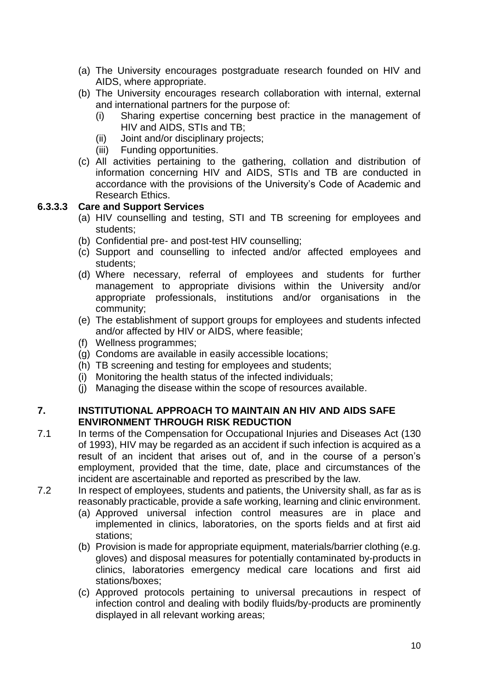- (a) The University encourages postgraduate research founded on HIV and AIDS, where appropriate.
- (b) The University encourages research collaboration with internal, external and international partners for the purpose of:
	- (i) Sharing expertise concerning best practice in the management of HIV and AIDS, STIs and TB;
	- (ii) Joint and/or disciplinary projects;
	- (iii) Funding opportunities.
- (c) All activities pertaining to the gathering, collation and distribution of information concerning HIV and AIDS, STIs and TB are conducted in accordance with the provisions of the University's Code of Academic and Research Ethics.

#### **6.3.3.3 Care and Support Services**

- (a) HIV counselling and testing, STI and TB screening for employees and students;
- (b) Confidential pre- and post-test HIV counselling;
- (c) Support and counselling to infected and/or affected employees and students;
- (d) Where necessary, referral of employees and students for further management to appropriate divisions within the University and/or appropriate professionals, institutions and/or organisations in the community;
- (e) The establishment of support groups for employees and students infected and/or affected by HIV or AIDS, where feasible;
- (f) Wellness programmes;
- (g) Condoms are available in easily accessible locations;
- (h) TB screening and testing for employees and students;
- (i) Monitoring the health status of the infected individuals;
- (j) Managing the disease within the scope of resources available.

### **7. INSTITUTIONAL APPROACH TO MAINTAIN AN HIV AND AIDS SAFE ENVIRONMENT THROUGH RISK REDUCTION**

- 7.1 In terms of the Compensation for Occupational Injuries and Diseases Act (130 of 1993), HIV may be regarded as an accident if such infection is acquired as a result of an incident that arises out of, and in the course of a person's employment, provided that the time, date, place and circumstances of the incident are ascertainable and reported as prescribed by the law.
- 7.2 In respect of employees, students and patients, the University shall, as far as is reasonably practicable, provide a safe working, learning and clinic environment.
	- (a) Approved universal infection control measures are in place and implemented in clinics, laboratories, on the sports fields and at first aid stations;
	- (b) Provision is made for appropriate equipment, materials/barrier clothing (e.g. gloves) and disposal measures for potentially contaminated by-products in clinics, laboratories emergency medical care locations and first aid stations/boxes;
	- (c) Approved protocols pertaining to universal precautions in respect of infection control and dealing with bodily fluids/by-products are prominently displayed in all relevant working areas;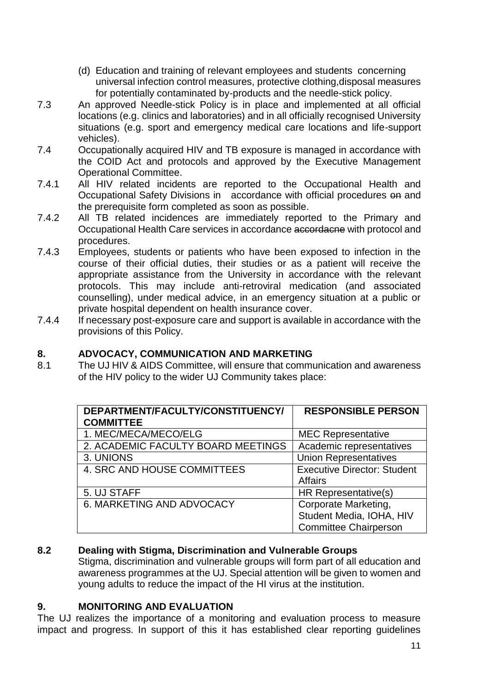- (d) Education and training of relevant employees and students concerning universal infection control measures, protective clothing,disposal measures for potentially contaminated by-products and the needle-stick policy.
- 7.3 An approved Needle-stick Policy is in place and implemented at all official locations (e.g. clinics and laboratories) and in all officially recognised University situations (e.g. sport and emergency medical care locations and life-support vehicles).
- 7.4 Occupationally acquired HIV and TB exposure is managed in accordance with the COID Act and protocols and approved by the Executive Management Operational Committee.
- 7.4.1 All HIV related incidents are reported to the Occupational Health and Occupational Safety Divisions in accordance with official procedures on and the prerequisite form completed as soon as possible.
- 7.4.2 All TB related incidences are immediately reported to the Primary and Occupational Health Care services in accordance accordacne with protocol and procedures.
- 7.4.3 Employees, students or patients who have been exposed to infection in the course of their official duties, their studies or as a patient will receive the appropriate assistance from the University in accordance with the relevant protocols. This may include anti-retroviral medication (and associated counselling), under medical advice, in an emergency situation at a public or private hospital dependent on health insurance cover.
- 7.4.4 If necessary post-exposure care and support is available in accordance with the provisions of this Policy.

### **8. ADVOCACY, COMMUNICATION AND MARKETING**

8.1 The UJ HIV & AIDS Committee, will ensure that communication and awareness of the HIV policy to the wider UJ Community takes place:

| DEPARTMENT/FACULTY/CONSTITUENCY/   | <b>RESPONSIBLE PERSON</b>          |  |  |
|------------------------------------|------------------------------------|--|--|
| <b>COMMITTEE</b>                   |                                    |  |  |
| 1. MEC/MECA/MECO/ELG               | <b>MEC Representative</b>          |  |  |
| 2. ACADEMIC FACULTY BOARD MEETINGS | Academic representatives           |  |  |
| 3. UNIONS                          | <b>Union Representatives</b>       |  |  |
| 4. SRC AND HOUSE COMMITTEES        | <b>Executive Director: Student</b> |  |  |
|                                    | <b>Affairs</b>                     |  |  |
| 5. UJ STAFF                        | HR Representative(s)               |  |  |
| 6. MARKETING AND ADVOCACY          | Corporate Marketing,               |  |  |
|                                    | Student Media, IOHA, HIV           |  |  |
|                                    | <b>Committee Chairperson</b>       |  |  |

### **8.2 Dealing with Stigma, Discrimination and Vulnerable Groups**

Stigma, discrimination and vulnerable groups will form part of all education and awareness programmes at the UJ. Special attention will be given to women and young adults to reduce the impact of the HI virus at the institution.

### **9. MONITORING AND EVALUATION**

The UJ realizes the importance of a monitoring and evaluation process to measure impact and progress. In support of this it has established clear reporting guidelines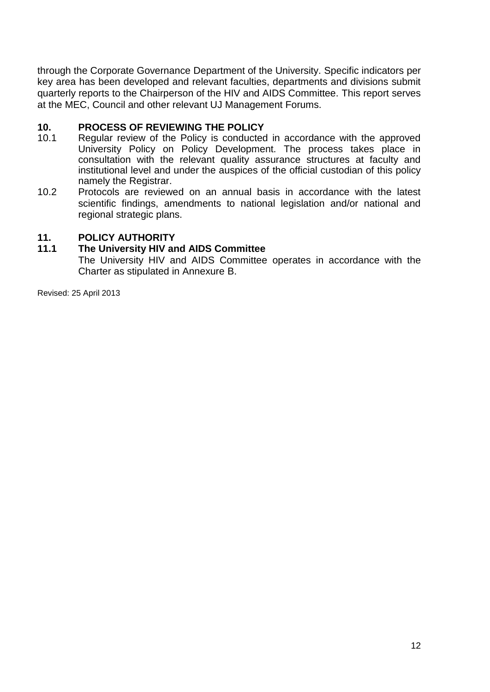through the Corporate Governance Department of the University. Specific indicators per key area has been developed and relevant faculties, departments and divisions submit quarterly reports to the Chairperson of the HIV and AIDS Committee. This report serves at the MEC, Council and other relevant UJ Management Forums.

# **10. PROCESS OF REVIEWING THE POLICY**

- Regular review of the Policy is conducted in accordance with the approved University Policy on Policy Development. The process takes place in consultation with the relevant quality assurance structures at faculty and institutional level and under the auspices of the official custodian of this policy namely the Registrar.
- 10.2 Protocols are reviewed on an annual basis in accordance with the latest scientific findings, amendments to national legislation and/or national and regional strategic plans.

# **11. POLICY AUTHORITY**

#### **11.1 The University HIV and AIDS Committee**

The University HIV and AIDS Committee operates in accordance with the Charter as stipulated in Annexure B.

Revised: 25 April 2013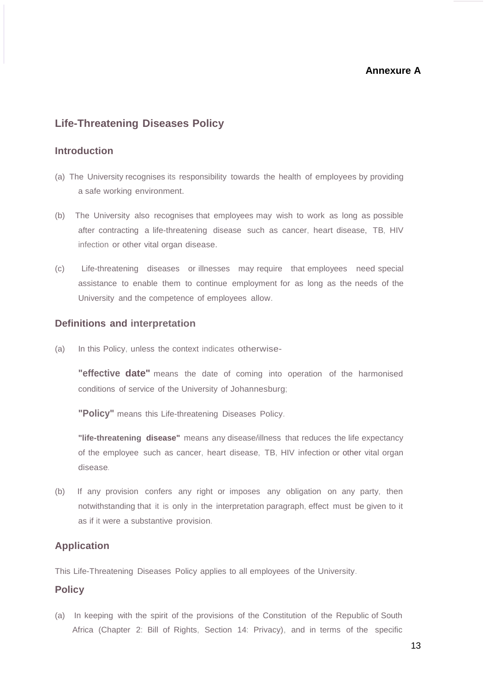#### **Annexure A**

#### **Life-Threatening Diseases Policy**

#### **Introduction**

- (a) The University recognises its responsibility towards the health of employees by providing a safe working environment.
- (b) The University also recognises that employees may wish to work as long as possible after contracting a life-threatening disease such as cancer, heart disease, TB, HIV infection or other vital organ disease.
- (c) Life-threatening diseases or illnesses may require that employees need special assistance to enable them to continue employment for as long as the needs of the University and the competence of employees allow.

#### **Definitions and interpretation**

(a) In this Policy, unless the context indicates otherwise-

**"effective date"** means the date of coming into operation of the harmonised conditions of service of the University of Johannesburg;

**"Policy"** means this Life-threatening Diseases Policy.

**"life-threatening disease"** means any disease/illness that reduces the life expectancy of the employee such as cancer, heart disease, TB, HIV infection or other vital organ disease.

(b) If any provision confers any right or imposes any obligation on any party, then notwithstanding that it is only in the interpretation paragraph, effect must be given to it as if it were a substantive provision.

#### **Application**

This Life-Threatening Diseases Policy applies to all employees of the University.

#### **Policy**

(a) In keeping with the spirit of the provisions of the Constitution of the Republic of South Africa (Chapter 2: Bill of Rights, Section 14: Privacy), and in terms of the specific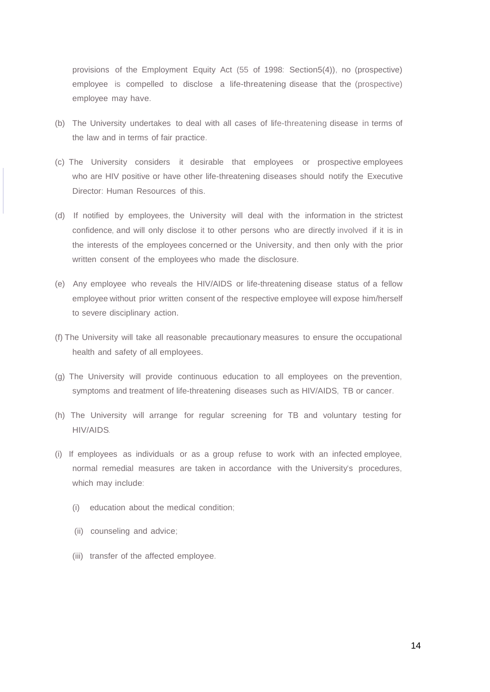provisions of the Employment Equity Act (55 of 1998: Section5(4)), no (prospective) employee is compelled to disclose a life-threatening disease that the (prospective) employee may have.

- (b) The University undertakes to deal with all cases of life-threatening disease in terms of the law and in terms of fair practice.
- (c) The University considers it desirable that employees or prospective employees who are HIV positive or have other life-threatening diseases should notify the Executive Director: Human Resources of this.
- (d) If notified by employees, the University will deal with the information in the strictest confidence, and will only disclose it to other persons who are directly involved if it is in the interests of the employees concerned or the University, and then only with the prior written consent of the employees who made the disclosure.
- (e) Any employee who reveals the HIV/AIDS or life-threatening disease status of a fellow employee without prior written consent of the respective employee will expose him/herself to severe disciplinary action.
- (f) The University will take all reasonable precautionary measures to ensure the occupational health and safety of all employees.
- (g) The University will provide continuous education to all employees on the prevention, symptoms and treatment of life-threatening diseases such as HIV/AIDS, TB or cancer.
- (h) The University will arrange for regular screening for TB and voluntary testing for HIV/AIDS.
- (i) If employees as individuals or as a group refuse to work with an infected employee, normal remedial measures are taken in accordance with the University's procedures, which may include:
	- (i) education about the medical condition;
	- (ii) counseling and advice;
	- (iii) transfer of the affected employee.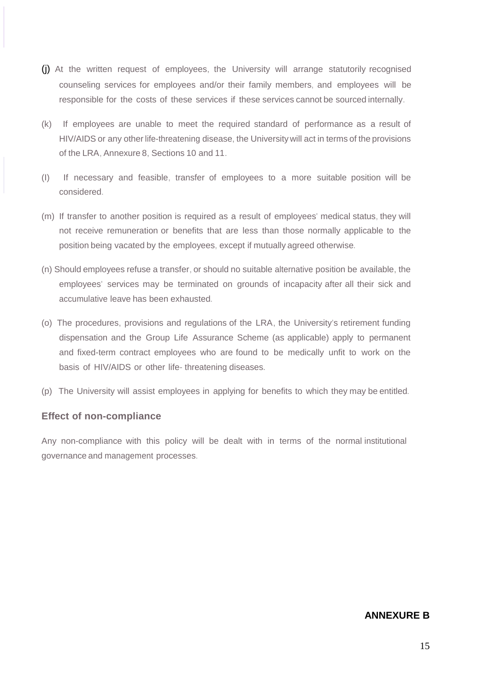- (j) At the written request of employees, the University will arrange statutorily recognised counseling services for employees and/or their family members, and employees will be responsible for the costs of these services if these services cannot be sourced internally.
- (k) If employees are unable to meet the required standard of performance as a result of HIV/AIDS or any other life-threatening disease, the University will act in terms of the provisions of the LRA, Annexure 8, Sections 10 and 11.
- (I) If necessary and feasible, transfer of employees to a more suitable position will be considered.
- (m) If transfer to another position is required as a result of employees' medical status, they will not receive remuneration or benefits that are less than those normally applicable to the position being vacated by the employees, except if mutually agreed otherwise.
- (n) Should employees refuse a transfer, or should no suitable alternative position be available, the employees' services may be terminated on grounds of incapacity after all their sick and accumulative leave has been exhausted.
- (o) The procedures, provisions and regulations of the LRA, the University's retirement funding dispensation and the Group Life Assurance Scheme (as applicable) apply to permanent and fixed-term contract employees who are found to be medically unfit to work on the basis of HIV/AIDS or other life- threatening diseases.
- (p) The University will assist employees in applying for benefits to which they may be entitled.

#### **Effect of non-compliance**

Any non-compliance with this policy will be dealt with in terms of the normal institutional governance and management processes.

#### **ANNEXURE B**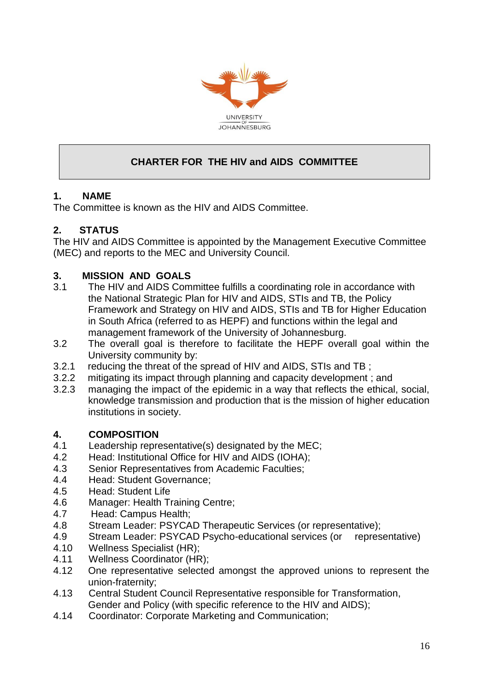

# **CHARTER FOR THE HIV and AIDS COMMITTEE**

# **1. NAME**

The Committee is known as the HIV and AIDS Committee.

# **2. STATUS**

The HIV and AIDS Committee is appointed by the Management Executive Committee (MEC) and reports to the MEC and University Council.

# **3. MISSION AND GOALS**

- 3.1 The HIV and AIDS Committee fulfills a coordinating role in accordance with the National Strategic Plan for HIV and AIDS, STIs and TB, the Policy Framework and Strategy on HIV and AIDS, STIs and TB for Higher Education in South Africa (referred to as HEPF) and functions within the legal and management framework of the University of Johannesburg.
- 3.2 The overall goal is therefore to facilitate the HEPF overall goal within the University community by:
- 3.2.1 reducing the threat of the spread of HIV and AIDS, STIs and TB ;
- 3.2.2 mitigating its impact through planning and capacity development ; and
- 3.2.3 managing the impact of the epidemic in a way that reflects the ethical, social, knowledge transmission and production that is the mission of higher education institutions in society.

### **4. COMPOSITION**

- 4.1 Leadership representative(s) designated by the MEC;
- 4.2 Head: Institutional Office for HIV and AIDS (IOHA);
- 4.3 Senior Representatives from Academic Faculties;
- 4.4 Head: Student Governance;
- 4.5 Head: Student Life
- 4.6 Manager: Health Training Centre;
- 4.7 Head: Campus Health;
- 4.8 Stream Leader: PSYCAD Therapeutic Services (or representative);
- 4.9 Stream Leader: PSYCAD Psycho-educational services (or representative)
- 4.10 Wellness Specialist (HR);
- 4.11 Wellness Coordinator (HR);
- 4.12 One representative selected amongst the approved unions to represent the union-fraternity;
- 4.13 Central Student Council Representative responsible for Transformation, Gender and Policy (with specific reference to the HIV and AIDS);
- 4.14 Coordinator: Corporate Marketing and Communication;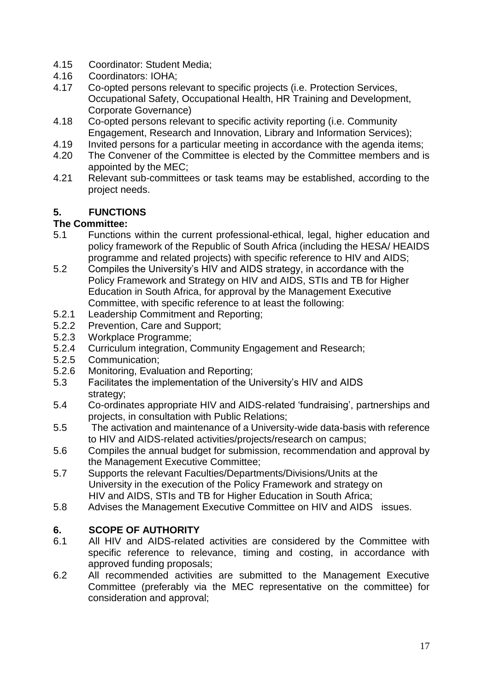- 4.15 Coordinator: Student Media;
- 4.16 Coordinators: IOHA;
- 4.17 Co-opted persons relevant to specific projects (i.e. Protection Services, Occupational Safety, Occupational Health, HR Training and Development, Corporate Governance)
- 4.18 Co-opted persons relevant to specific activity reporting (i.e. Community Engagement, Research and Innovation, Library and Information Services);
- 4.19 Invited persons for a particular meeting in accordance with the agenda items;
- 4.20 The Convener of the Committee is elected by the Committee members and is appointed by the MEC;
- 4.21 Relevant sub-committees or task teams may be established, according to the project needs.

# **5. FUNCTIONS**

# **The Committee:**

- 5.1 Functions within the current professional-ethical, legal, higher education and policy framework of the Republic of South Africa (including the HESA/ HEAIDS programme and related projects) with specific reference to HIV and AIDS;
- 5.2 Compiles the University's HIV and AIDS strategy, in accordance with the Policy Framework and Strategy on HIV and AIDS, STIs and TB for Higher Education in South Africa, for approval by the Management Executive Committee, with specific reference to at least the following:
- 5.2.1 Leadership Commitment and Reporting;
- 5.2.2 Prevention, Care and Support;
- 5.2.3 Workplace Programme;
- 5.2.4 Curriculum integration, Community Engagement and Research;
- 5.2.5 Communication;
- 5.2.6 Monitoring, Evaluation and Reporting;
- 5.3 Facilitates the implementation of the University's HIV and AIDS strategy;
- 5.4 Co-ordinates appropriate HIV and AIDS-related 'fundraising', partnerships and projects, in consultation with Public Relations;
- 5.5 The activation and maintenance of a University-wide data-basis with reference to HIV and AIDS-related activities/projects/research on campus;
- 5.6 Compiles the annual budget for submission, recommendation and approval by the Management Executive Committee;
- 5.7 Supports the relevant Faculties/Departments/Divisions/Units at the University in the execution of the Policy Framework and strategy on HIV and AIDS, STIs and TB for Higher Education in South Africa;
- 5.8 Advises the Management Executive Committee on HIV and AIDS issues.

# **6. SCOPE OF AUTHORITY**

- 6.1 All HIV and AIDS-related activities are considered by the Committee with specific reference to relevance, timing and costing, in accordance with approved funding proposals;
- 6.2 All recommended activities are submitted to the Management Executive Committee (preferably via the MEC representative on the committee) for consideration and approval;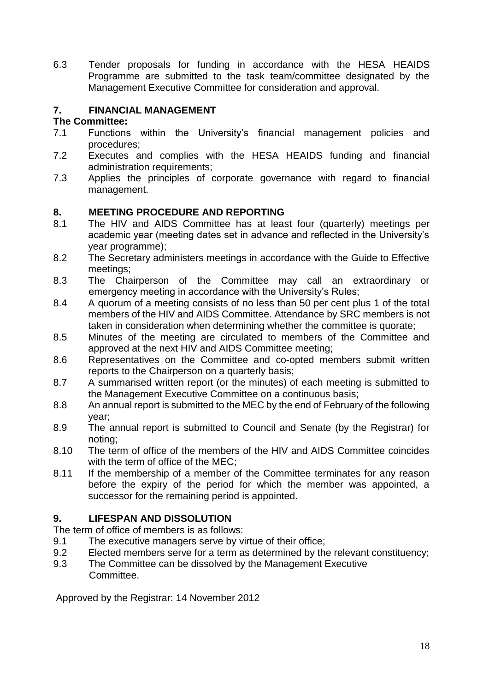6.3 Tender proposals for funding in accordance with the HESA HEAIDS Programme are submitted to the task team/committee designated by the Management Executive Committee for consideration and approval.

# **7. FINANCIAL MANAGEMENT**

#### **The Committee:**

- 7.1 Functions within the University's financial management policies and procedures;
- 7.2 Executes and complies with the HESA HEAIDS funding and financial administration requirements;
- 7.3 Applies the principles of corporate governance with regard to financial management.

### **8. MEETING PROCEDURE AND REPORTING**

- 8.1 The HIV and AIDS Committee has at least four (quarterly) meetings per academic year (meeting dates set in advance and reflected in the University's year programme);
- 8.2 The Secretary administers meetings in accordance with the Guide to Effective meetings;
- 8.3 The Chairperson of the Committee may call an extraordinary or emergency meeting in accordance with the University's Rules;
- 8.4 A quorum of a meeting consists of no less than 50 per cent plus 1 of the total members of the HIV and AIDS Committee. Attendance by SRC members is not taken in consideration when determining whether the committee is quorate;
- 8.5 Minutes of the meeting are circulated to members of the Committee and approved at the next HIV and AIDS Committee meeting;
- 8.6 Representatives on the Committee and co-opted members submit written reports to the Chairperson on a quarterly basis;
- 8.7 A summarised written report (or the minutes) of each meeting is submitted to the Management Executive Committee on a continuous basis;
- 8.8 An annual report is submitted to the MEC by the end of February of the following year;
- 8.9 The annual report is submitted to Council and Senate (by the Registrar) for noting;
- 8.10 The term of office of the members of the HIV and AIDS Committee coincides with the term of office of the MEC;
- 8.11 If the membership of a member of the Committee terminates for any reason before the expiry of the period for which the member was appointed, a successor for the remaining period is appointed.

### **9. LIFESPAN AND DISSOLUTION**

The term of office of members is as follows:

- 9.1 The executive managers serve by virtue of their office;
- 9.2 Elected members serve for a term as determined by the relevant constituency;
- 9.3 The Committee can be dissolved by the Management Executive Committee.

Approved by the Registrar: 14 November 2012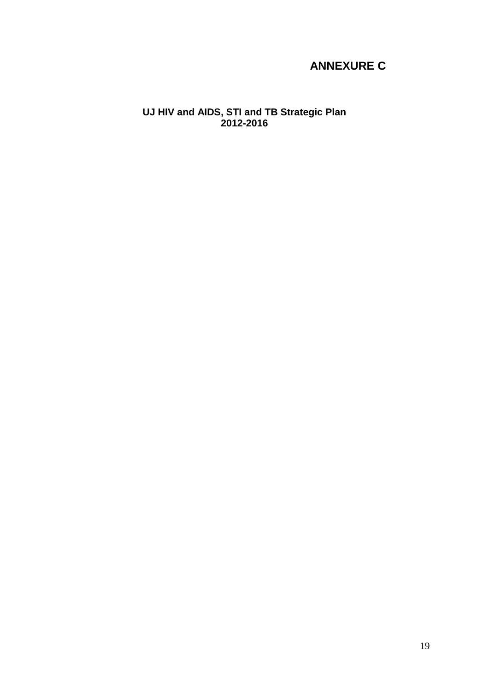# **ANNEXURE C**

**UJ HIV and AIDS, STI and TB Strategic Plan 2012-2016**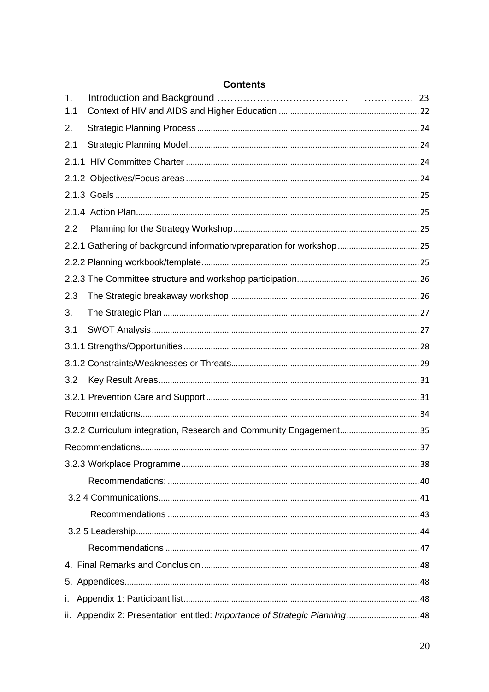|     | <b>Contents</b>                                                   |  |
|-----|-------------------------------------------------------------------|--|
| 1.  |                                                                   |  |
| 1.1 |                                                                   |  |
| 2.  |                                                                   |  |
| 2.1 |                                                                   |  |
|     |                                                                   |  |
|     |                                                                   |  |
|     |                                                                   |  |
|     |                                                                   |  |
| 2.2 |                                                                   |  |
|     |                                                                   |  |
|     |                                                                   |  |
|     |                                                                   |  |
| 2.3 |                                                                   |  |
| 3.  |                                                                   |  |
| 3.1 |                                                                   |  |
|     |                                                                   |  |
|     |                                                                   |  |
| 3.2 |                                                                   |  |
|     |                                                                   |  |
|     |                                                                   |  |
|     | 3.2.2 Curriculum integration, Research and Community Engagement35 |  |
|     |                                                                   |  |
|     |                                                                   |  |
|     |                                                                   |  |
|     |                                                                   |  |
|     |                                                                   |  |
|     |                                                                   |  |
|     |                                                                   |  |
|     |                                                                   |  |
|     |                                                                   |  |
| i.  |                                                                   |  |
|     |                                                                   |  |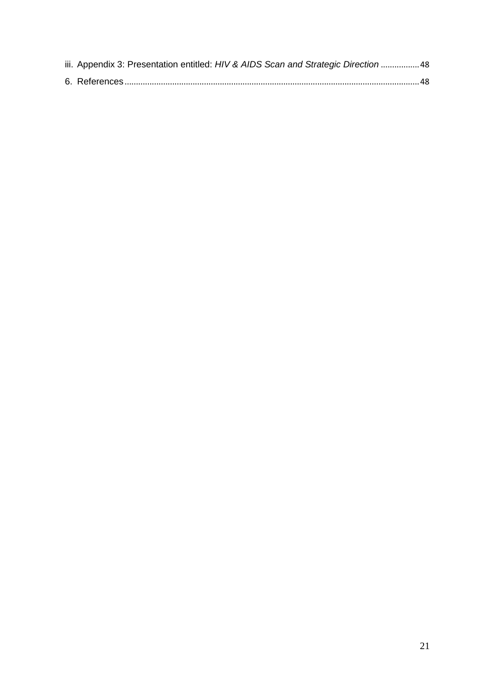| iii. Appendix 3: Presentation entitled: HIV & AIDS Scan and Strategic Direction 48 |  |
|------------------------------------------------------------------------------------|--|
|                                                                                    |  |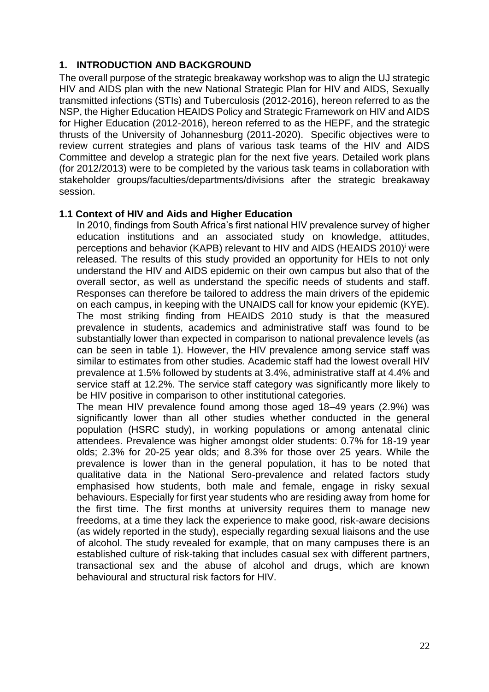## **1. INTRODUCTION AND BACKGROUND**

The overall purpose of the strategic breakaway workshop was to align the UJ strategic HIV and AIDS plan with the new National Strategic Plan for HIV and AIDS, Sexually transmitted infections (STIs) and Tuberculosis (2012-2016), hereon referred to as the NSP, the Higher Education HEAIDS Policy and Strategic Framework on HIV and AIDS for Higher Education (2012-2016), hereon referred to as the HEPF, and the strategic thrusts of the University of Johannesburg (2011-2020). Specific objectives were to review current strategies and plans of various task teams of the HIV and AIDS Committee and develop a strategic plan for the next five years. Detailed work plans (for 2012/2013) were to be completed by the various task teams in collaboration with stakeholder groups/faculties/departments/divisions after the strategic breakaway session.

#### <span id="page-22-0"></span>**1.1 Context of HIV and Aids and Higher Education**

In 2010, findings from South Africa's first national HIV prevalence survey of higher education institutions and an associated study on knowledge, attitudes, perceptions and behavior (KAPB) relevant to HIV and AIDS (HEAIDS 2010)<sup>i</sup> were released. The results of this study provided an opportunity for HEIs to not only understand the HIV and AIDS epidemic on their own campus but also that of the overall sector, as well as understand the specific needs of students and staff. Responses can therefore be tailored to address the main drivers of the epidemic on each campus, in keeping with the UNAIDS call for know your epidemic (KYE). The most striking finding from HEAIDS 2010 study is that the measured prevalence in students, academics and administrative staff was found to be substantially lower than expected in comparison to national prevalence levels (as can be seen in table 1). However, the HIV prevalence among service staff was similar to estimates from other studies. Academic staff had the lowest overall HIV prevalence at 1.5% followed by students at 3.4%, administrative staff at 4.4% and service staff at 12.2%. The service staff category was significantly more likely to be HIV positive in comparison to other institutional categories.

The mean HIV prevalence found among those aged 18–49 years (2.9%) was significantly lower than all other studies whether conducted in the general population (HSRC study), in working populations or among antenatal clinic attendees. Prevalence was higher amongst older students: 0.7% for 18-19 year olds; 2.3% for 20-25 year olds; and 8.3% for those over 25 years. While the prevalence is lower than in the general population, it has to be noted that qualitative data in the National Sero-prevalence and related factors study emphasised how students, both male and female, engage in risky sexual behaviours. Especially for first year students who are residing away from home for the first time. The first months at university requires them to manage new freedoms, at a time they lack the experience to make good, risk-aware decisions (as widely reported in the study), especially regarding sexual liaisons and the use of alcohol. The study revealed for example, that on many campuses there is an established culture of risk-taking that includes casual sex with different partners, transactional sex and the abuse of alcohol and drugs, which are known behavioural and structural risk factors for HIV.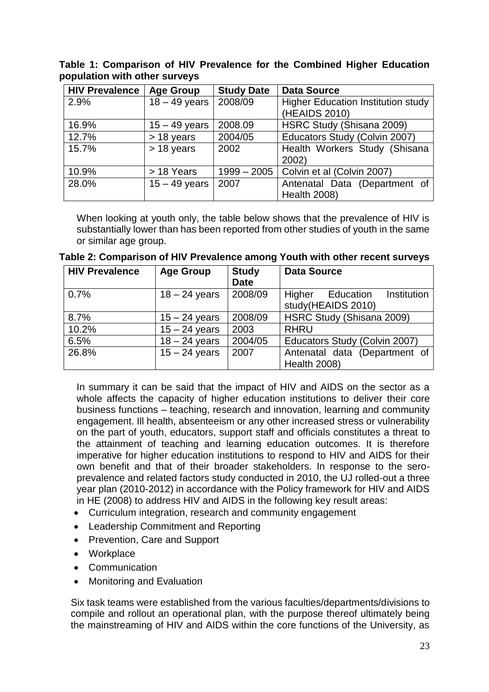**Table 1: Comparison of HIV Prevalence for the Combined Higher Education population with other surveys**

| <b>HIV Prevalence</b> | <b>Age Group</b> | <b>Study Date</b> | <b>Data Source</b>                                         |  |  |
|-----------------------|------------------|-------------------|------------------------------------------------------------|--|--|
| 2.9%                  | $18 - 49$ years  | 2008/09           | <b>Higher Education Institution study</b><br>(HEAIDS 2010) |  |  |
| 16.9%                 | $15 - 49$ years  | 2008.09           | HSRC Study (Shisana 2009)                                  |  |  |
| 12.7%                 | $> 18$ years     | 2004/05           | Educators Study (Colvin 2007)                              |  |  |
| 15.7%                 | $> 18$ years     | 2002              | Health Workers Study (Shisana                              |  |  |
|                       |                  |                   | 2002)                                                      |  |  |
| 10.9%                 | > 18 Years       | $1999 - 2005$     | Colvin et al (Colvin 2007)                                 |  |  |
| 28.0%                 | $15 - 49$ years  | 2007              | Antenatal Data (Department of                              |  |  |
|                       |                  |                   | <b>Health 2008)</b>                                        |  |  |

When looking at youth only, the table below shows that the prevalence of HIV is substantially lower than has been reported from other studies of youth in the same or similar age group.

| <b>HIV Prevalence</b> | <b>Age Group</b> | <b>Study</b> | <b>Data Source</b>              |  |  |  |
|-----------------------|------------------|--------------|---------------------------------|--|--|--|
|                       |                  | <b>Date</b>  |                                 |  |  |  |
| 0.7%                  | $18 - 24$ years  | 2008/09      | Institution<br>Higher Education |  |  |  |
|                       |                  |              | study(HEAIDS 2010)              |  |  |  |
| 8.7%                  | $15 - 24$ years  | 2008/09      | HSRC Study (Shisana 2009)       |  |  |  |
| 10.2%                 | $15 - 24$ years  | 2003         | <b>RHRU</b>                     |  |  |  |
| 6.5%                  | $18 - 24$ years  | 2004/05      | Educators Study (Colvin 2007)   |  |  |  |
| 26.8%                 | $15 - 24$ years  | 2007         | Antenatal data (Department of   |  |  |  |
|                       |                  |              | <b>Health 2008)</b>             |  |  |  |

**Table 2: Comparison of HIV Prevalence among Youth with other recent surveys**

In summary it can be said that the impact of HIV and AIDS on the sector as a whole affects the capacity of higher education institutions to deliver their core business functions – teaching, research and innovation, learning and community engagement. Ill health, absenteeism or any other increased stress or vulnerability on the part of youth, educators, support staff and officials constitutes a threat to the attainment of teaching and learning education outcomes. It is therefore imperative for higher education institutions to respond to HIV and AIDS for their own benefit and that of their broader stakeholders. In response to the seroprevalence and related factors study conducted in 2010, the UJ rolled-out a three year plan (2010-2012) in accordance with the Policy framework for HIV and AIDS in HE (2008) to address HIV and AIDS in the following key result areas:

- Curriculum integration, research and community engagement
- Leadership Commitment and Reporting
- Prevention, Care and Support
- Workplace
- Communication
- Monitoring and Evaluation

Six task teams were established from the various faculties/departments/divisions to compile and rollout an operational plan, with the purpose thereof ultimately being the mainstreaming of HIV and AIDS within the core functions of the University, as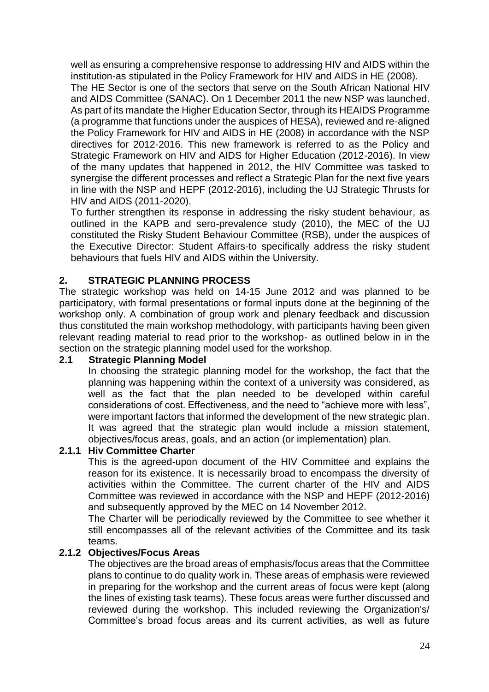well as ensuring a comprehensive response to addressing HIV and AIDS within the institution-as stipulated in the Policy Framework for HIV and AIDS in HE (2008).

The HE Sector is one of the sectors that serve on the South African National HIV and AIDS Committee (SANAC). On 1 December 2011 the new NSP was launched. As part of its mandate the Higher Education Sector, through its HEAIDS Programme (a programme that functions under the auspices of HESA), reviewed and re-aligned the Policy Framework for HIV and AIDS in HE (2008) in accordance with the NSP directives for 2012-2016. This new framework is referred to as the Policy and Strategic Framework on HIV and AIDS for Higher Education (2012-2016). In view of the many updates that happened in 2012, the HIV Committee was tasked to synergise the different processes and reflect a Strategic Plan for the next five years in line with the NSP and HEPF (2012-2016), including the UJ Strategic Thrusts for HIV and AIDS (2011-2020).

To further strengthen its response in addressing the risky student behaviour, as outlined in the KAPB and sero-prevalence study (2010), the MEC of the UJ constituted the Risky Student Behaviour Committee (RSB), under the auspices of the Executive Director: Student Affairs-to specifically address the risky student behaviours that fuels HIV and AIDS within the University.

#### <span id="page-24-0"></span>**2. STRATEGIC PLANNING PROCESS**

The strategic workshop was held on 14-15 June 2012 and was planned to be participatory, with formal presentations or formal inputs done at the beginning of the workshop only. A combination of group work and plenary feedback and discussion thus constituted the main workshop methodology, with participants having been given relevant reading material to read prior to the workshop- as outlined below in in the section on the strategic planning model used for the workshop.

#### <span id="page-24-1"></span>**2.1 Strategic Planning Model**

In choosing the strategic planning model for the workshop, the fact that the planning was happening within the context of a university was considered, as well as the fact that the plan needed to be developed within careful considerations of cost. Effectiveness, and the need to "achieve more with less", were important factors that informed the development of the new strategic plan. It was agreed that the strategic plan would include a mission statement, objectives/focus areas, goals, and an action (or implementation) plan.

#### <span id="page-24-2"></span>**2.1.1 Hiv Committee Charter**

This is the agreed-upon document of the HIV Committee and explains the reason for its existence. It is necessarily broad to encompass the diversity of activities within the Committee. The current charter of the HIV and AIDS Committee was reviewed in accordance with the NSP and HEPF (2012-2016) and subsequently approved by the MEC on 14 November 2012.

The Charter will be periodically reviewed by the Committee to see whether it still encompasses all of the relevant activities of the Committee and its task teams.

#### <span id="page-24-3"></span>**2.1.2 Objectives/Focus Areas**

The objectives are the broad areas of emphasis/focus areas that the Committee plans to continue to do quality work in. These areas of emphasis were reviewed in preparing for the workshop and the current areas of focus were kept (along the lines of existing task teams). These focus areas were further discussed and reviewed during the workshop. This included reviewing the Organization's/ Committee's broad focus areas and its current activities, as well as future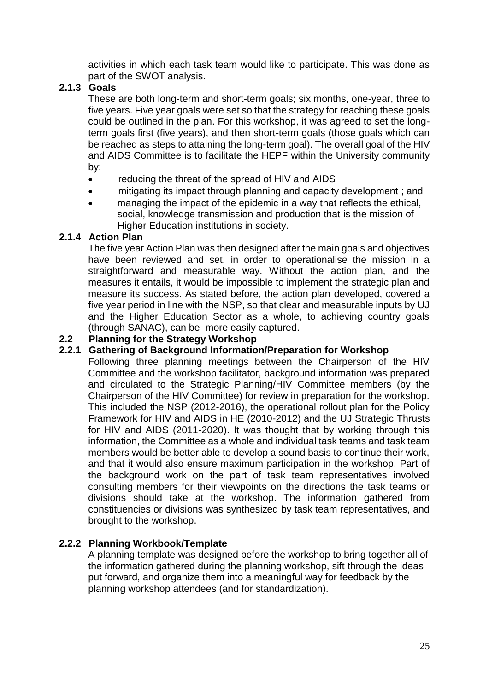activities in which each task team would like to participate. This was done as part of the SWOT analysis.

## <span id="page-25-0"></span>**2.1.3 Goals**

These are both long-term and short-term goals; six months, one-year, three to five years. Five year goals were set so that the strategy for reaching these goals could be outlined in the plan. For this workshop, it was agreed to set the longterm goals first (five years), and then short-term goals (those goals which can be reached as steps to attaining the long-term goal). The overall goal of the HIV and AIDS Committee is to facilitate the HEPF within the University community by:

- reducing the threat of the spread of HIV and AIDS
- mitigating its impact through planning and capacity development ; and
- managing the impact of the epidemic in a way that reflects the ethical, social, knowledge transmission and production that is the mission of Higher Education institutions in society.

# <span id="page-25-1"></span>**2.1.4 Action Plan**

The five year Action Plan was then designed after the main goals and objectives have been reviewed and set, in order to operationalise the mission in a straightforward and measurable way. Without the action plan, and the measures it entails, it would be impossible to implement the strategic plan and measure its success. As stated before, the action plan developed, covered a five year period in line with the NSP, so that clear and measurable inputs by UJ and the Higher Education Sector as a whole, to achieving country goals (through SANAC), can be more easily captured.

# <span id="page-25-2"></span>**2.2 Planning for the Strategy Workshop**

# <span id="page-25-3"></span>**2.2.1 Gathering of Background Information/Preparation for Workshop**

Following three planning meetings between the Chairperson of the HIV Committee and the workshop facilitator, background information was prepared and circulated to the Strategic Planning/HIV Committee members (by the Chairperson of the HIV Committee) for review in preparation for the workshop. This included the NSP (2012-2016), the operational rollout plan for the Policy Framework for HIV and AIDS in HE (2010-2012) and the UJ Strategic Thrusts for HIV and AIDS (2011-2020). It was thought that by working through this information, the Committee as a whole and individual task teams and task team members would be better able to develop a sound basis to continue their work, and that it would also ensure maximum participation in the workshop. Part of the background work on the part of task team representatives involved consulting members for their viewpoints on the directions the task teams or divisions should take at the workshop. The information gathered from constituencies or divisions was synthesized by task team representatives, and brought to the workshop.

# <span id="page-25-4"></span>**2.2.2 Planning Workbook/Template**

A planning template was designed before the workshop to bring together all of the information gathered during the planning workshop, sift through the ideas put forward, and organize them into a meaningful way for feedback by the planning workshop attendees (and for standardization).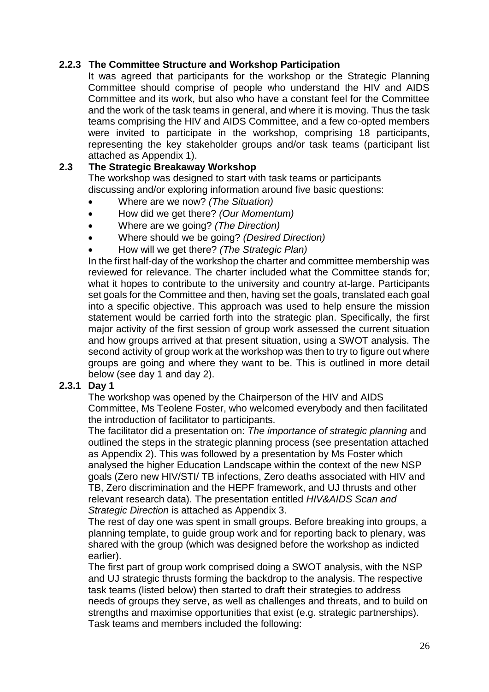## <span id="page-26-0"></span>**2.2.3 The Committee Structure and Workshop Participation**

It was agreed that participants for the workshop or the Strategic Planning Committee should comprise of people who understand the HIV and AIDS Committee and its work, but also who have a constant feel for the Committee and the work of the task teams in general, and where it is moving. Thus the task teams comprising the HIV and AIDS Committee, and a few co-opted members were invited to participate in the workshop, comprising 18 participants, representing the key stakeholder groups and/or task teams (participant list attached as Appendix 1).

### <span id="page-26-1"></span>**2.3 The Strategic Breakaway Workshop**

The workshop was designed to start with task teams or participants discussing and/or exploring information around five basic questions:

- Where are we now? *(The Situation)*
- How did we get there? *(Our Momentum)*
- Where are we going? *(The Direction)*
- Where should we be going? *(Desired Direction)*
- How will we get there? *(The Strategic Plan)*

In the first half-day of the workshop the charter and committee membership was reviewed for relevance. The charter included what the Committee stands for; what it hopes to contribute to the university and country at-large. Participants set goals for the Committee and then, having set the goals, translated each goal into a specific objective. This approach was used to help ensure the mission statement would be carried forth into the strategic plan. Specifically, the first major activity of the first session of group work assessed the current situation and how groups arrived at that present situation, using a SWOT analysis. The second activity of group work at the workshop was then to try to figure out where groups are going and where they want to be. This is outlined in more detail below (see day 1 and day 2).

#### **2.3.1 Day 1**

The workshop was opened by the Chairperson of the HIV and AIDS Committee, Ms Teolene Foster, who welcomed everybody and then facilitated the introduction of facilitator to participants.

The facilitator did a presentation on: *The importance of strategic planning* and outlined the steps in the strategic planning process (see presentation attached as Appendix 2). This was followed by a presentation by Ms Foster which analysed the higher Education Landscape within the context of the new NSP goals (Zero new HIV/STI/ TB infections, Zero deaths associated with HIV and TB, Zero discrimination and the HEPF framework, and UJ thrusts and other relevant research data). The presentation entitled *HIV&AIDS Scan and Strategic Direction* is attached as Appendix 3.

The rest of day one was spent in small groups. Before breaking into groups, a planning template, to guide group work and for reporting back to plenary, was shared with the group (which was designed before the workshop as indicted earlier).

The first part of group work comprised doing a SWOT analysis, with the NSP and UJ strategic thrusts forming the backdrop to the analysis. The respective task teams (listed below) then started to draft their strategies to address needs of groups they serve, as well as challenges and threats, and to build on strengths and maximise opportunities that exist (e.g. strategic partnerships). Task teams and members included the following: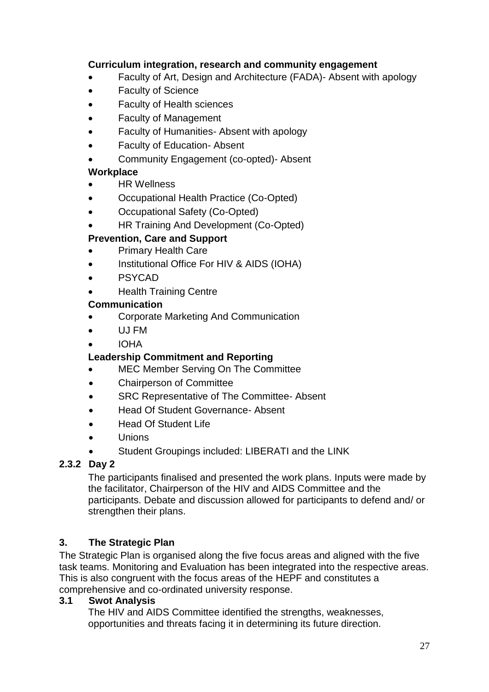## **Curriculum integration, research and community engagement**

- Faculty of Art, Design and Architecture (FADA)- Absent with apology
- Faculty of Science
- Faculty of Health sciences
- Faculty of Management
- Faculty of Humanities- Absent with apology
- Faculty of Education- Absent
- Community Engagement (co-opted)- Absent

# **Workplace**

- HR Wellness
- Occupational Health Practice (Co-Opted)
- Occupational Safety (Co-Opted)
- HR Training And Development (Co-Opted)

## **Prevention, Care and Support**

- Primary Health Care
- Institutional Office For HIV & AIDS (IOHA)
- PSYCAD
- Health Training Centre

## **Communication**

- Corporate Marketing And Communication
- UJ FM

# IOHA

# **Leadership Commitment and Reporting**

- MEC Member Serving On The Committee
- Chairperson of Committee
- SRC Representative of The Committee- Absent
- Head Of Student Governance- Absent
- Head Of Student Life
- Unions
- Student Groupings included: LIBERATI and the LINK

# **2.3.2 Day 2**

The participants finalised and presented the work plans. Inputs were made by the facilitator, Chairperson of the HIV and AIDS Committee and the participants. Debate and discussion allowed for participants to defend and/ or strengthen their plans.

# <span id="page-27-0"></span>**3. The Strategic Plan**

The Strategic Plan is organised along the five focus areas and aligned with the five task teams. Monitoring and Evaluation has been integrated into the respective areas. This is also congruent with the focus areas of the HEPF and constitutes a comprehensive and co-ordinated university response.

### <span id="page-27-1"></span>**3.1 Swot Analysis**

The HIV and AIDS Committee identified the strengths, weaknesses, opportunities and threats facing it in determining its future direction.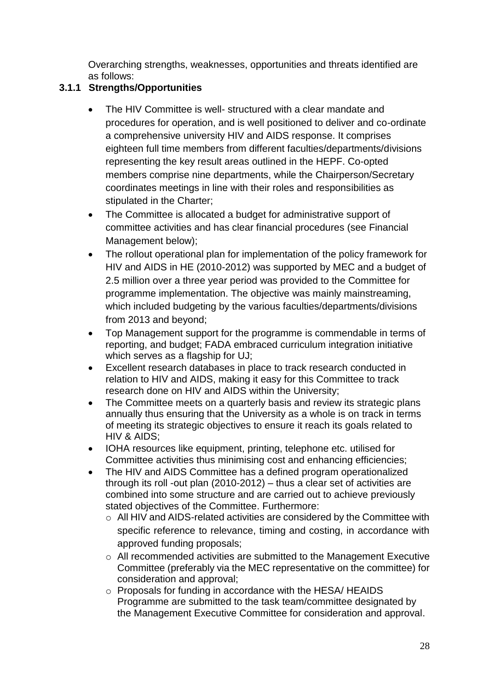Overarching strengths, weaknesses, opportunities and threats identified are as follows:

# <span id="page-28-0"></span>**3.1.1 Strengths/Opportunities**

- The HIV Committee is well- structured with a clear mandate and procedures for operation, and is well positioned to deliver and co-ordinate a comprehensive university HIV and AIDS response. It comprises eighteen full time members from different faculties/departments/divisions representing the key result areas outlined in the HEPF. Co-opted members comprise nine departments, while the Chairperson/Secretary coordinates meetings in line with their roles and responsibilities as stipulated in the Charter;
- The Committee is allocated a budget for administrative support of committee activities and has clear financial procedures (see Financial Management below);
- The rollout operational plan for implementation of the policy framework for HIV and AIDS in HE (2010-2012) was supported by MEC and a budget of 2.5 million over a three year period was provided to the Committee for programme implementation. The objective was mainly mainstreaming, which included budgeting by the various faculties/departments/divisions from 2013 and beyond;
- Top Management support for the programme is commendable in terms of reporting, and budget; FADA embraced curriculum integration initiative which serves as a flagship for UJ;
- Excellent research databases in place to track research conducted in relation to HIV and AIDS, making it easy for this Committee to track research done on HIV and AIDS within the University;
- The Committee meets on a quarterly basis and review its strategic plans annually thus ensuring that the University as a whole is on track in terms of meeting its strategic objectives to ensure it reach its goals related to HIV & AIDS;
- IOHA resources like equipment, printing, telephone etc. utilised for Committee activities thus minimising cost and enhancing efficiencies;
- The HIV and AIDS Committee has a defined program operationalized through its roll -out plan (2010-2012) – thus a clear set of activities are combined into some structure and are carried out to achieve previously stated objectives of the Committee. Furthermore:
	- o All HIV and AIDS-related activities are considered by the Committee with specific reference to relevance, timing and costing, in accordance with approved funding proposals;
	- o All recommended activities are submitted to the Management Executive Committee (preferably via the MEC representative on the committee) for consideration and approval;
	- o Proposals for funding in accordance with the HESA/ HEAIDS Programme are submitted to the task team/committee designated by the Management Executive Committee for consideration and approval.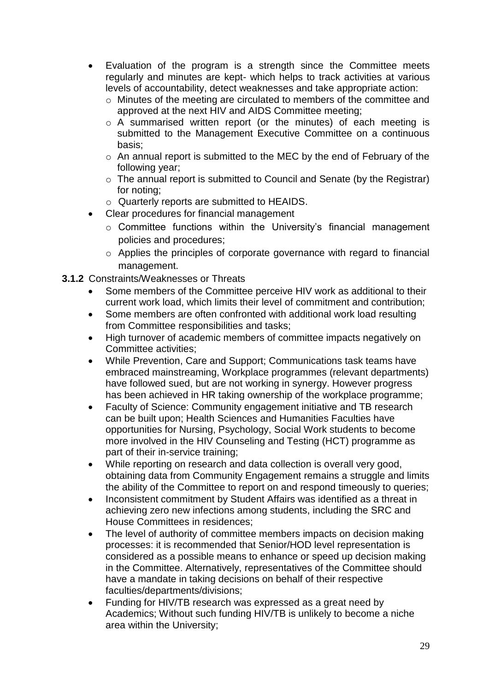- Evaluation of the program is a strength since the Committee meets regularly and minutes are kept- which helps to track activities at various levels of accountability, detect weaknesses and take appropriate action:
	- o Minutes of the meeting are circulated to members of the committee and approved at the next HIV and AIDS Committee meeting;
	- o A summarised written report (or the minutes) of each meeting is submitted to the Management Executive Committee on a continuous basis;
	- o An annual report is submitted to the MEC by the end of February of the following year;
	- o The annual report is submitted to Council and Senate (by the Registrar) for noting;
	- o Quarterly reports are submitted to HEAIDS.
	- Clear procedures for financial management
		- o Committee functions within the University's financial management policies and procedures;
		- o Applies the principles of corporate governance with regard to financial management.
- <span id="page-29-0"></span>**3.1.2** Constraints/Weaknesses or Threats
	- Some members of the Committee perceive HIV work as additional to their current work load, which limits their level of commitment and contribution;
	- Some members are often confronted with additional work load resulting from Committee responsibilities and tasks;
	- High turnover of academic members of committee impacts negatively on Committee activities;
	- While Prevention, Care and Support; Communications task teams have embraced mainstreaming, Workplace programmes (relevant departments) have followed sued, but are not working in synergy. However progress has been achieved in HR taking ownership of the workplace programme;
	- Faculty of Science: Community engagement initiative and TB research can be built upon; Health Sciences and Humanities Faculties have opportunities for Nursing, Psychology, Social Work students to become more involved in the HIV Counseling and Testing (HCT) programme as part of their in-service training;
	- While reporting on research and data collection is overall very good, obtaining data from Community Engagement remains a struggle and limits the ability of the Committee to report on and respond timeously to queries;
	- Inconsistent commitment by Student Affairs was identified as a threat in achieving zero new infections among students, including the SRC and House Committees in residences;
	- The level of authority of committee members impacts on decision making processes: it is recommended that Senior/HOD level representation is considered as a possible means to enhance or speed up decision making in the Committee. Alternatively, representatives of the Committee should have a mandate in taking decisions on behalf of their respective faculties/departments/divisions;
	- Funding for HIV/TB research was expressed as a great need by Academics; Without such funding HIV/TB is unlikely to become a niche area within the University;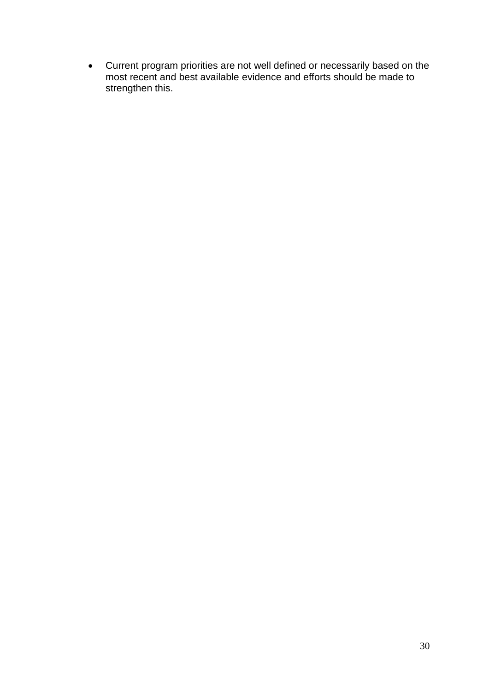Current program priorities are not well defined or necessarily based on the most recent and best available evidence and efforts should be made to strengthen this.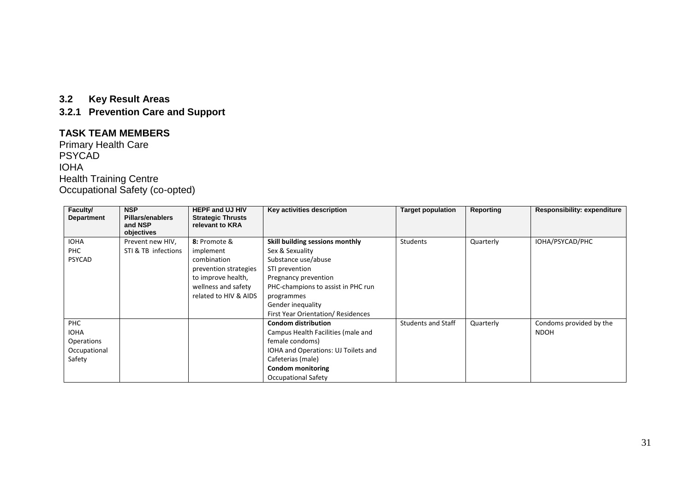## **3.2 Key Result Areas**

**3.2.1 Prevention Care and Support**

#### **TASK TEAM MEMBERS**

Primary Health Care PSYCAD IOHA Health Training Centre Occupational Safety (co-opted)

<span id="page-31-1"></span><span id="page-31-0"></span>

| Faculty/          | <b>NSP</b>                         | <b>HEPF and UJ HIV</b>                      | Key activities description          | <b>Target population</b>  | Reporting | <b>Responsibility: expenditure</b> |
|-------------------|------------------------------------|---------------------------------------------|-------------------------------------|---------------------------|-----------|------------------------------------|
| <b>Department</b> | <b>Pillars/enablers</b><br>and NSP | <b>Strategic Thrusts</b><br>relevant to KRA |                                     |                           |           |                                    |
|                   | objectives                         |                                             |                                     |                           |           |                                    |
| <b>IOHA</b>       | Prevent new HIV,                   | 8: Promote &                                | Skill building sessions monthly     | <b>Students</b>           | Quarterly | IOHA/PSYCAD/PHC                    |
| <b>PHC</b>        | STI & TB infections                | implement                                   | Sex & Sexuality                     |                           |           |                                    |
| <b>PSYCAD</b>     |                                    | combination                                 | Substance use/abuse                 |                           |           |                                    |
|                   |                                    | prevention strategies                       | STI prevention                      |                           |           |                                    |
|                   |                                    | to improve health,                          | Pregnancy prevention                |                           |           |                                    |
|                   |                                    | wellness and safety                         | PHC-champions to assist in PHC run  |                           |           |                                    |
|                   |                                    | related to HIV & AIDS                       | programmes                          |                           |           |                                    |
|                   |                                    |                                             | Gender inequality                   |                           |           |                                    |
|                   |                                    |                                             | First Year Orientation/ Residences  |                           |           |                                    |
| PHC               |                                    |                                             | <b>Condom distribution</b>          | <b>Students and Staff</b> | Quarterly | Condoms provided by the            |
| <b>IOHA</b>       |                                    |                                             | Campus Health Facilities (male and  |                           |           | <b>NDOH</b>                        |
| <b>Operations</b> |                                    |                                             | female condoms)                     |                           |           |                                    |
| Occupational      |                                    |                                             | IOHA and Operations: UJ Toilets and |                           |           |                                    |
| Safety            |                                    |                                             | Cafeterias (male)                   |                           |           |                                    |
|                   |                                    |                                             | <b>Condom monitoring</b>            |                           |           |                                    |
|                   |                                    |                                             | <b>Occupational Safety</b>          |                           |           |                                    |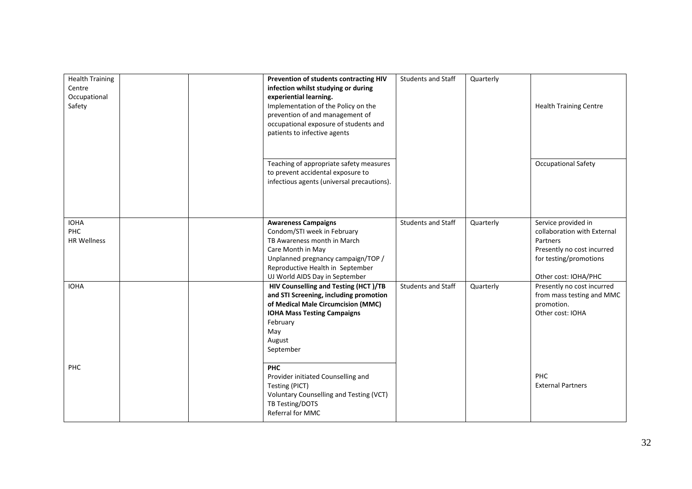| <b>Health Training</b><br>Centre<br>Occupational<br>Safety |  | Prevention of students contracting HIV<br>infection whilst studying or during<br>experiential learning.<br>Implementation of the Policy on the<br>prevention of and management of<br>occupational exposure of students and<br>patients to infective agents | <b>Students and Staff</b> | Quarterly | <b>Health Training Centre</b>                                                                                                                  |
|------------------------------------------------------------|--|------------------------------------------------------------------------------------------------------------------------------------------------------------------------------------------------------------------------------------------------------------|---------------------------|-----------|------------------------------------------------------------------------------------------------------------------------------------------------|
|                                                            |  | Teaching of appropriate safety measures<br>to prevent accidental exposure to<br>infectious agents (universal precautions).                                                                                                                                 |                           |           | <b>Occupational Safety</b>                                                                                                                     |
| <b>IOHA</b><br><b>PHC</b><br><b>HR Wellness</b>            |  | <b>Awareness Campaigns</b><br>Condom/STI week in February<br>TB Awareness month in March<br>Care Month in May<br>Unplanned pregnancy campaign/TOP /<br>Reproductive Health in September<br>UJ World AIDS Day in September                                  | <b>Students and Staff</b> | Quarterly | Service provided in<br>collaboration with External<br>Partners<br>Presently no cost incurred<br>for testing/promotions<br>Other cost: IOHA/PHC |
| <b>IOHA</b>                                                |  | HIV Counselling and Testing (HCT)/TB<br>and STI Screening, including promotion<br>of Medical Male Circumcision (MMC)<br><b>IOHA Mass Testing Campaigns</b><br>February<br>May<br>August<br>September                                                       | <b>Students and Staff</b> | Quarterly | Presently no cost incurred<br>from mass testing and MMC<br>promotion.<br>Other cost: IOHA                                                      |
| PHC                                                        |  | <b>PHC</b><br>Provider initiated Counselling and<br>Testing (PICT)<br>Voluntary Counselling and Testing (VCT)<br>TB Testing/DOTS<br>Referral for MMC                                                                                                       |                           |           | <b>PHC</b><br><b>External Partners</b>                                                                                                         |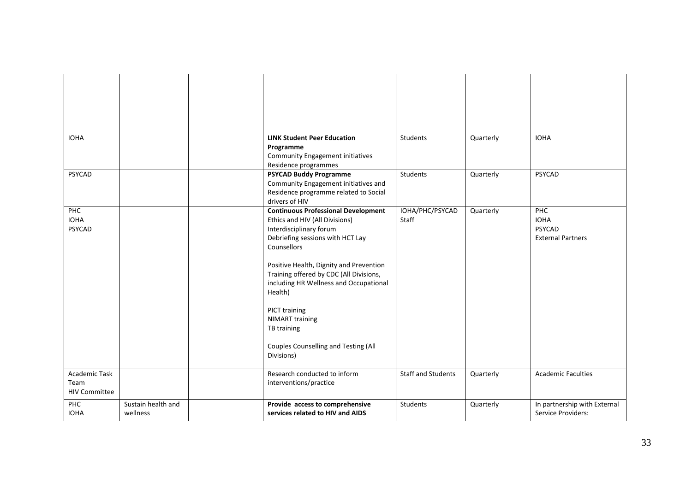| <b>IOHA</b>                                          |                                | <b>LINK Student Peer Education</b><br>Programme<br><b>Community Engagement initiatives</b><br>Residence programmes                                                                                                                                                                                                                                                                                                    | Students                  | Quarterly | <b>IOHA</b>                                                     |
|------------------------------------------------------|--------------------------------|-----------------------------------------------------------------------------------------------------------------------------------------------------------------------------------------------------------------------------------------------------------------------------------------------------------------------------------------------------------------------------------------------------------------------|---------------------------|-----------|-----------------------------------------------------------------|
| <b>PSYCAD</b>                                        |                                | <b>PSYCAD Buddy Programme</b><br>Community Engagement initiatives and<br>Residence programme related to Social<br>drivers of HIV                                                                                                                                                                                                                                                                                      | Students                  | Quarterly | PSYCAD                                                          |
| PHC<br><b>IOHA</b><br>PSYCAD                         |                                | <b>Continuous Professional Development</b><br>Ethics and HIV (All Divisions)<br>Interdisciplinary forum<br>Debriefing sessions with HCT Lay<br>Counsellors<br>Positive Health, Dignity and Prevention<br>Training offered by CDC (All Divisions,<br>including HR Wellness and Occupational<br>Health)<br>PICT training<br><b>NIMART</b> training<br>TB training<br>Couples Counselling and Testing (All<br>Divisions) | IOHA/PHC/PSYCAD<br>Staff  | Quarterly | <b>PHC</b><br><b>IOHA</b><br>PSYCAD<br><b>External Partners</b> |
| <b>Academic Task</b><br>Team<br><b>HIV Committee</b> |                                | Research conducted to inform<br>interventions/practice                                                                                                                                                                                                                                                                                                                                                                | <b>Staff and Students</b> | Quarterly | <b>Academic Faculties</b>                                       |
| PHC<br><b>IOHA</b>                                   | Sustain health and<br>wellness | Provide access to comprehensive<br>services related to HIV and AIDS                                                                                                                                                                                                                                                                                                                                                   | <b>Students</b>           | Quarterly | In partnership with External<br>Service Providers:              |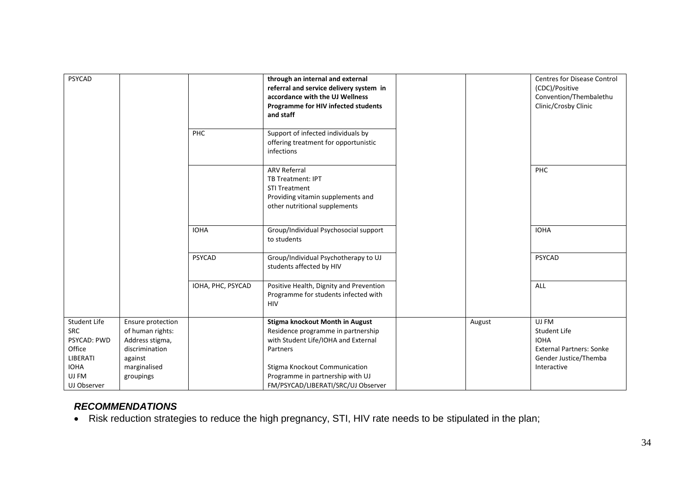| PSYCAD                                                                                                        |                                                                                                                    |                   | through an internal and external<br>referral and service delivery system in<br>accordance with the UJ Wellness<br>Programme for HIV infected students<br>and staff                                                                         |        | <b>Centres for Disease Control</b><br>(CDC)/Positive<br>Convention/Thembalethu<br>Clinic/Crosby Clinic                 |
|---------------------------------------------------------------------------------------------------------------|--------------------------------------------------------------------------------------------------------------------|-------------------|--------------------------------------------------------------------------------------------------------------------------------------------------------------------------------------------------------------------------------------------|--------|------------------------------------------------------------------------------------------------------------------------|
|                                                                                                               |                                                                                                                    | PHC               | Support of infected individuals by<br>offering treatment for opportunistic<br>infections                                                                                                                                                   |        |                                                                                                                        |
|                                                                                                               |                                                                                                                    |                   | <b>ARV Referral</b><br>TB Treatment: IPT<br><b>STI Treatment</b><br>Providing vitamin supplements and<br>other nutritional supplements                                                                                                     |        | PHC                                                                                                                    |
|                                                                                                               |                                                                                                                    | <b>IOHA</b>       | Group/Individual Psychosocial support<br>to students                                                                                                                                                                                       |        | <b>IOHA</b>                                                                                                            |
|                                                                                                               |                                                                                                                    | <b>PSYCAD</b>     | Group/Individual Psychotherapy to UJ<br>students affected by HIV                                                                                                                                                                           |        | PSYCAD                                                                                                                 |
|                                                                                                               |                                                                                                                    | IOHA, PHC, PSYCAD | Positive Health, Dignity and Prevention<br>Programme for students infected with<br><b>HIV</b>                                                                                                                                              |        | ALL                                                                                                                    |
| Student Life<br><b>SRC</b><br><b>PSYCAD: PWD</b><br>Office<br>LIBERATI<br><b>IOHA</b><br>UJ FM<br>UJ Observer | Ensure protection<br>of human rights:<br>Address stigma,<br>discrimination<br>against<br>marginalised<br>groupings |                   | Stigma knockout Month in August<br>Residence programme in partnership<br>with Student Life/IOHA and External<br>Partners<br><b>Stigma Knockout Communication</b><br>Programme in partnership with UJ<br>FM/PSYCAD/LIBERATI/SRC/UJ Observer | August | UJ FM<br><b>Student Life</b><br><b>IOHA</b><br><b>External Partners: Sonke</b><br>Gender Justice/Themba<br>Interactive |

# *RECOMMENDATIONS*

<span id="page-34-0"></span>Risk reduction strategies to reduce the high pregnancy, STI, HIV rate needs to be stipulated in the plan;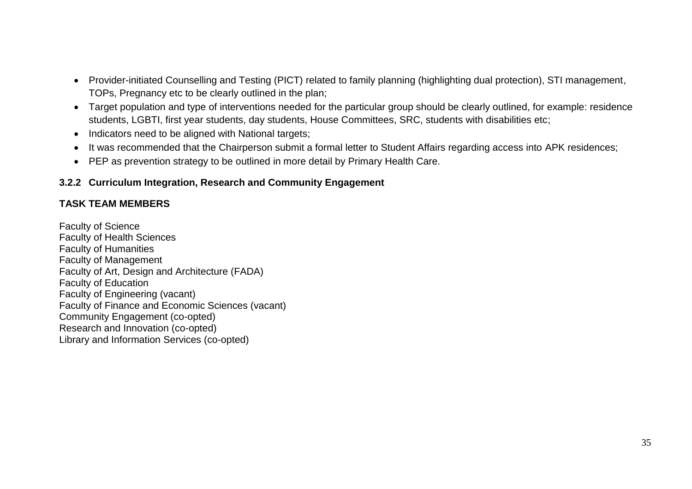- Provider-initiated Counselling and Testing (PICT) related to family planning (highlighting dual protection), STI management, TOPs, Pregnancy etc to be clearly outlined in the plan;
- Target population and type of interventions needed for the particular group should be clearly outlined, for example: residence students, LGBTI, first year students, day students, House Committees, SRC, students with disabilities etc;
- Indicators need to be aligned with National targets;
- It was recommended that the Chairperson submit a formal letter to Student Affairs regarding access into APK residences;
- PEP as prevention strategy to be outlined in more detail by Primary Health Care.

# **3.2.2 Curriculum Integration, Research and Community Engagement**

# **TASK TEAM MEMBERS**

<span id="page-35-0"></span>Faculty of Science Faculty of Health Sciences Faculty of Humanities Faculty of Management Faculty of Art, Design and Architecture (FADA) Faculty of Education Faculty of Engineering (vacant) Faculty of Finance and Economic Sciences (vacant) Community Engagement (co-opted) Research and Innovation (co-opted) Library and Information Services (co-opted)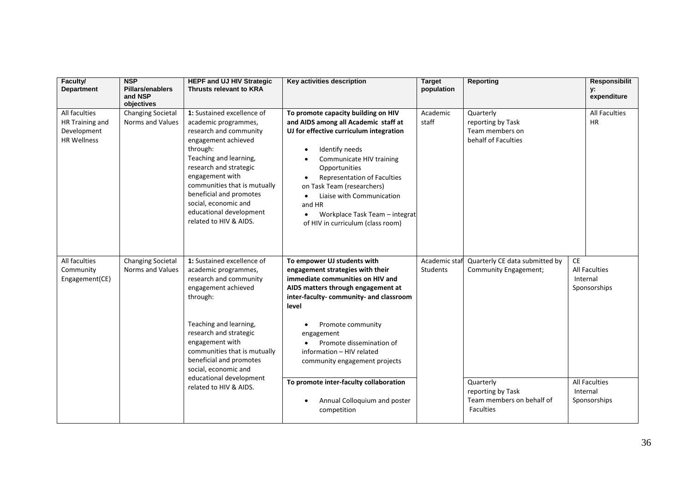| Faculty/<br><b>Department</b>                                         | <b>NSP</b><br><b>Pillars/enablers</b><br>and NSP<br>objectives | <b>HEPF and UJ HIV Strategic</b><br><b>Thrusts relevant to KRA</b>                                                                                                                                                                                                                                                             | Key activities description                                                                                                                                                                                                                                                                                                                                                                 | <b>Target</b><br>population      | <b>Reporting</b>                                                                |                | <b>Responsibilit</b><br>у:<br>expenditure |
|-----------------------------------------------------------------------|----------------------------------------------------------------|--------------------------------------------------------------------------------------------------------------------------------------------------------------------------------------------------------------------------------------------------------------------------------------------------------------------------------|--------------------------------------------------------------------------------------------------------------------------------------------------------------------------------------------------------------------------------------------------------------------------------------------------------------------------------------------------------------------------------------------|----------------------------------|---------------------------------------------------------------------------------|----------------|-------------------------------------------|
| All faculties<br>HR Training and<br>Development<br><b>HR Wellness</b> | <b>Changing Societal</b><br>Norms and Values                   | 1: Sustained excellence of<br>academic programmes,<br>research and community<br>engagement achieved<br>through:<br>Teaching and learning,<br>research and strategic<br>engagement with<br>communities that is mutually<br>beneficial and promotes<br>social, economic and<br>educational development<br>related to HIV & AIDS. | To promote capacity building on HIV<br>and AIDS among all Academic staff at<br>UJ for effective curriculum integration<br>Identify needs<br>Communicate HIV training<br>Opportunities<br>Representation of Faculties<br>on Task Team (researchers)<br>Liaise with Communication<br>$\bullet$<br>and HR<br>Workplace Task Team - integrat<br>$\bullet$<br>of HIV in curriculum (class room) | Academic<br>staff                | Quarterly<br>reporting by Task<br>Team members on<br>behalf of Faculties        |                | All Faculties<br>HR                       |
| All faculties<br>Community<br>Engagement(CE)                          | <b>Changing Societal</b><br>Norms and Values                   | 1: Sustained excellence of<br>academic programmes,<br>research and community<br>engagement achieved<br>through:<br>Teaching and learning,<br>research and strategic<br>engagement with<br>communities that is mutually<br>beneficial and promotes<br>social, economic and                                                      | To empower UJ students with<br>engagement strategies with their<br>immediate communities on HIV and<br>AIDS matters through engagement at<br>inter-faculty-community- and classroom<br>level<br>Promote community<br>engagement<br>Promote dissemination of<br>information - HIV related<br>community engagement projects                                                                  | Academic staf<br><b>Students</b> | Quarterly CE data submitted by<br>Community Engagement;                         | CE<br>Internal | <b>All Faculties</b><br>Sponsorships      |
|                                                                       |                                                                | educational development<br>related to HIV & AIDS.                                                                                                                                                                                                                                                                              | To promote inter-faculty collaboration<br>Annual Colloquium and poster<br>competition                                                                                                                                                                                                                                                                                                      |                                  | Quarterly<br>reporting by Task<br>Team members on behalf of<br><b>Faculties</b> | Internal       | <b>All Faculties</b><br>Sponsorships      |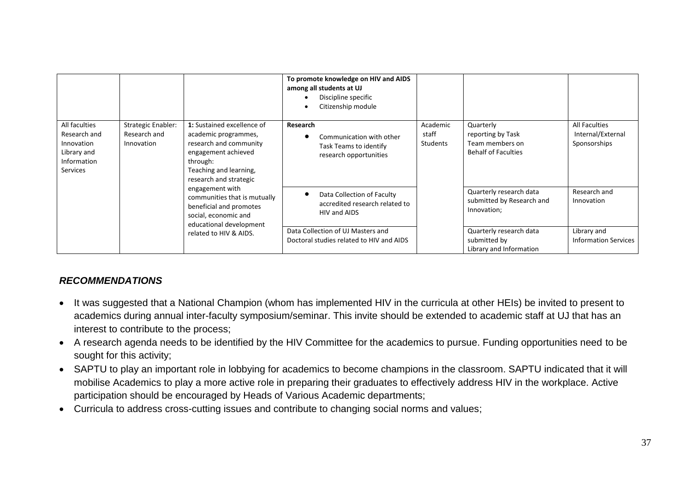|                                                                                       |                                                                     |                                                                                                                                                         | To promote knowledge on HIV and AIDS<br>among all students at UJ<br>Discipline specific<br>Citizenship module |                                                              |                               |                                                                                 |                                                           |  |
|---------------------------------------------------------------------------------------|---------------------------------------------------------------------|---------------------------------------------------------------------------------------------------------------------------------------------------------|---------------------------------------------------------------------------------------------------------------|--------------------------------------------------------------|-------------------------------|---------------------------------------------------------------------------------|-----------------------------------------------------------|--|
| All faculties<br>Research and<br>Innovation<br>Library and<br>Information<br>Services | <b>Strategic Enabler:</b><br>Research and<br>Innovation<br>through: | 1: Sustained excellence of<br>academic programmes,<br>research and community<br>engagement achieved<br>Teaching and learning,<br>research and strategic | Research<br>Task Teams to identify<br>research opportunities                                                  | Communication with other                                     | Academic<br>staff<br>Students | Quarterly<br>reporting by Task<br>Team members on<br><b>Behalf of Faculties</b> | <b>All Faculties</b><br>Internal/External<br>Sponsorships |  |
|                                                                                       |                                                                     | engagement with<br>communities that is mutually<br>beneficial and promotes<br>social, economic and<br>educational development<br>related to HIV & AIDS. | HIV and AIDS                                                                                                  | Data Collection of Faculty<br>accredited research related to |                               | Quarterly research data<br>submitted by Research and<br>Innovation;             | Research and<br>Innovation                                |  |
|                                                                                       |                                                                     |                                                                                                                                                         | Data Collection of UJ Masters and<br>Doctoral studies related to HIV and AIDS                                 |                                                              |                               | Quarterly research data<br>submitted by<br>Library and Information              | Library and<br><b>Information Services</b>                |  |

#### *RECOMMENDATIONS*

- It was suggested that a National Champion (whom has implemented HIV in the curricula at other HEIs) be invited to present to academics during annual inter-faculty symposium/seminar. This invite should be extended to academic staff at UJ that has an interest to contribute to the process;
- A research agenda needs to be identified by the HIV Committee for the academics to pursue. Funding opportunities need to be sought for this activity;
- SAPTU to play an important role in lobbying for academics to become champions in the classroom. SAPTU indicated that it will mobilise Academics to play a more active role in preparing their graduates to effectively address HIV in the workplace. Active participation should be encouraged by Heads of Various Academic departments;
- <span id="page-37-0"></span>Curricula to address cross-cutting issues and contribute to changing social norms and values;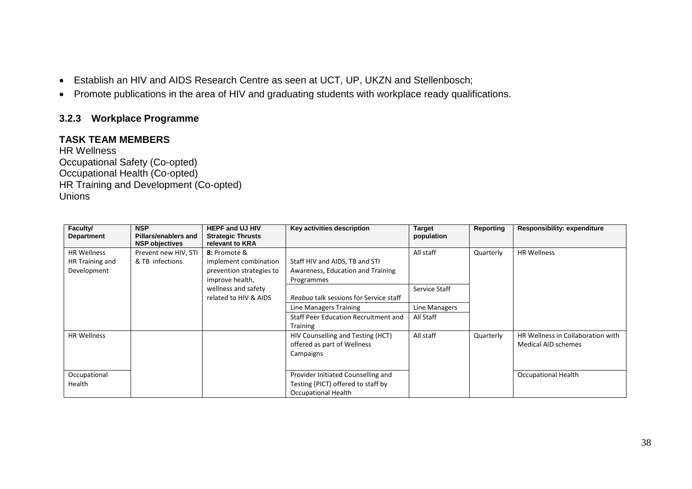- Establish an HIV and AIDS Research Centre as seen at UCT, UP, UKZN and Stellenbosch;
- Promote publications in the area of HIV and graduating students with workplace ready qualifications.

## **3.2.3 Workplace Programme**

### **TASK TEAM MEMBERS**

HR Wellness Occupational Safety (Co-opted) Occupational Health (Co-opted) HR Training and Development (Co-opted) Unions

<span id="page-38-0"></span>

| Faculty/<br><b>Department</b> | <b>NSP</b><br>Pillars/enablers and | <b>HEPF and UJ HIV</b><br><b>Strategic Thrusts</b> | Key activities description             | <b>Target</b><br>population | Reporting | <b>Responsibility: expenditure</b> |
|-------------------------------|------------------------------------|----------------------------------------------------|----------------------------------------|-----------------------------|-----------|------------------------------------|
|                               | <b>NSP objectives</b>              | relevant to KRA                                    |                                        |                             |           |                                    |
| <b>HR Wellness</b>            | Prevent new HIV, STI               | 8: Promote &                                       |                                        | All staff                   | Quarterly | <b>HR Wellness</b>                 |
| HR Training and               | & TB infections                    | implement combination                              | Staff HIV and AIDS, TB and STI         |                             |           |                                    |
| Development                   |                                    | prevention strategies to                           | Awareness, Education and Training      |                             |           |                                    |
|                               |                                    | improve health,                                    | Programmes                             |                             |           |                                    |
|                               |                                    | wellness and safety                                |                                        | Service Staff               |           |                                    |
|                               |                                    | related to HIV & AIDS                              | Reabua talk sessions for Service staff |                             |           |                                    |
|                               |                                    |                                                    | Line Managers Training                 | Line Managers               |           |                                    |
|                               |                                    |                                                    | Staff Peer Education Recruitment and   | All Staff                   |           |                                    |
|                               |                                    |                                                    | <b>Training</b>                        |                             |           |                                    |
| <b>HR Wellness</b>            |                                    |                                                    | HIV Counselling and Testing (HCT)      | All staff                   | Quarterly | HR Wellness in Collaboration with  |
|                               |                                    |                                                    | offered as part of Wellness            |                             |           | Medical AID schemes                |
|                               |                                    |                                                    | Campaigns                              |                             |           |                                    |
|                               |                                    |                                                    |                                        |                             |           |                                    |
| Occupational                  |                                    |                                                    | Provider Initiated Counselling and     |                             |           | <b>Occupational Health</b>         |
| Health                        |                                    |                                                    | Testing (PICT) offered to staff by     |                             |           |                                    |
|                               |                                    |                                                    | <b>Occupational Health</b>             |                             |           |                                    |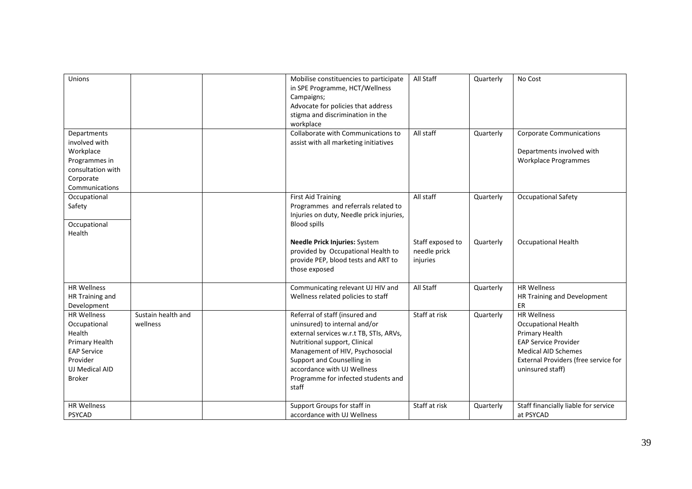| Unions                                                                                                                              |                                | Mobilise constituencies to participate<br>in SPE Programme, HCT/Wellness<br>Campaigns;<br>Advocate for policies that address<br>stigma and discrimination in the<br>workplace                                                                                                               | All Staff                                    | Quarterly | No Cost                                                                                                                                                                                     |
|-------------------------------------------------------------------------------------------------------------------------------------|--------------------------------|---------------------------------------------------------------------------------------------------------------------------------------------------------------------------------------------------------------------------------------------------------------------------------------------|----------------------------------------------|-----------|---------------------------------------------------------------------------------------------------------------------------------------------------------------------------------------------|
| Departments<br>involved with<br>Workplace<br>Programmes in<br>consultation with<br>Corporate<br>Communications                      |                                | Collaborate with Communications to<br>assist with all marketing initiatives                                                                                                                                                                                                                 | All staff                                    | Quarterly | <b>Corporate Communications</b><br>Departments involved with<br>Workplace Programmes                                                                                                        |
| Occupational<br>Safety<br>Occupational<br>Health                                                                                    |                                | <b>First Aid Training</b><br>Programmes and referrals related to<br>Injuries on duty, Needle prick injuries,<br><b>Blood spills</b>                                                                                                                                                         | All staff                                    | Quarterly | <b>Occupational Safety</b>                                                                                                                                                                  |
|                                                                                                                                     |                                | Needle Prick Injuries: System<br>provided by Occupational Health to<br>provide PEP, blood tests and ART to<br>those exposed                                                                                                                                                                 | Staff exposed to<br>needle prick<br>injuries | Quarterly | <b>Occupational Health</b>                                                                                                                                                                  |
| <b>HR Wellness</b><br>HR Training and<br>Development                                                                                |                                | Communicating relevant UJ HIV and<br>Wellness related policies to staff                                                                                                                                                                                                                     | All Staff                                    | Quarterly | <b>HR Wellness</b><br>HR Training and Development<br>ER                                                                                                                                     |
| <b>HR Wellness</b><br>Occupational<br>Health<br>Primary Health<br><b>EAP Service</b><br>Provider<br>UJ Medical AID<br><b>Broker</b> | Sustain health and<br>wellness | Referral of staff (insured and<br>uninsured) to internal and/or<br>external services w.r.t TB, STIs, ARVs,<br>Nutritional support, Clinical<br>Management of HIV, Psychosocial<br>Support and Counselling in<br>accordance with UJ Wellness<br>Programme for infected students and<br>staff | Staff at risk                                | Quarterly | <b>HR Wellness</b><br><b>Occupational Health</b><br>Primary Health<br><b>EAP Service Provider</b><br><b>Medical AID Schemes</b><br>External Providers (free service for<br>uninsured staff) |
| <b>HR Wellness</b><br><b>PSYCAD</b>                                                                                                 |                                | Support Groups for staff in<br>accordance with UJ Wellness                                                                                                                                                                                                                                  | Staff at risk                                | Quarterly | Staff financially liable for service<br>at PSYCAD                                                                                                                                           |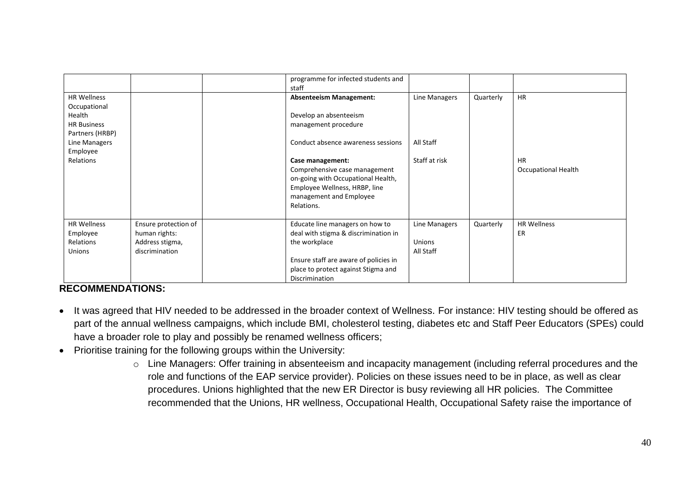|                                    |                      | programme for infected students and<br>staff                        |               |           |                            |
|------------------------------------|----------------------|---------------------------------------------------------------------|---------------|-----------|----------------------------|
| <b>HR Wellness</b><br>Occupational |                      | <b>Absenteeism Management:</b>                                      | Line Managers | Quarterly | <b>HR</b>                  |
| Health                             |                      | Develop an absenteeism                                              |               |           |                            |
| <b>HR Business</b>                 |                      | management procedure                                                |               |           |                            |
| Partners (HRBP)                    |                      |                                                                     |               |           |                            |
| Line Managers                      |                      | Conduct absence awareness sessions                                  | All Staff     |           |                            |
| Employee                           |                      |                                                                     |               |           |                            |
| Relations                          |                      | Case management:                                                    | Staff at risk |           | <b>HR</b>                  |
|                                    |                      | Comprehensive case management                                       |               |           | <b>Occupational Health</b> |
|                                    |                      | on-going with Occupational Health,<br>Employee Wellness, HRBP, line |               |           |                            |
|                                    |                      | management and Employee                                             |               |           |                            |
|                                    |                      | Relations.                                                          |               |           |                            |
|                                    |                      |                                                                     |               |           |                            |
| <b>HR Wellness</b>                 | Ensure protection of | Educate line managers on how to                                     | Line Managers | Quarterly | <b>HR Wellness</b>         |
| Employee                           | human rights:        | deal with stigma & discrimination in                                |               |           | ER                         |
| Relations                          | Address stigma,      | the workplace                                                       | Unions        |           |                            |
| <b>Unions</b>                      | discrimination       |                                                                     | All Staff     |           |                            |
|                                    |                      | Ensure staff are aware of policies in                               |               |           |                            |
|                                    |                      | place to protect against Stigma and                                 |               |           |                            |
|                                    |                      | Discrimination                                                      |               |           |                            |

#### **RECOMMENDATIONS:**

- It was agreed that HIV needed to be addressed in the broader context of Wellness. For instance: HIV testing should be offered as part of the annual wellness campaigns, which include BMI, cholesterol testing, diabetes etc and Staff Peer Educators (SPEs) could have a broader role to play and possibly be renamed wellness officers;
- <span id="page-40-0"></span>• Prioritise training for the following groups within the University:
	- o Line Managers: Offer training in absenteeism and incapacity management (including referral procedures and the role and functions of the EAP service provider). Policies on these issues need to be in place, as well as clear procedures. Unions highlighted that the new ER Director is busy reviewing all HR policies.The Committee recommended that the Unions, HR wellness, Occupational Health, Occupational Safety raise the importance of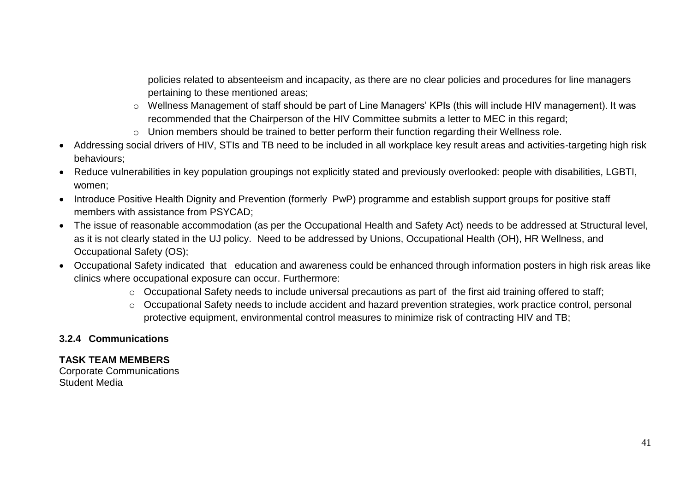policies related to absenteeism and incapacity, as there are no clear policies and procedures for line managers pertaining to these mentioned areas;

- o Wellness Management of staff should be part of Line Managers' KPIs (this will include HIV management). It was recommended that the Chairperson of the HIV Committee submits a letter to MEC in this regard;
- o Union members should be trained to better perform their function regarding their Wellness role.
- Addressing social drivers of HIV, STIs and TB need to be included in all workplace key result areas and activities-targeting high risk behaviours;
- Reduce vulnerabilities in key population groupings not explicitly stated and previously overlooked: people with disabilities, LGBTI, women;
- Introduce Positive Health Dignity and Prevention (formerly PwP) programme and establish support groups for positive staff members with assistance from PSYCAD;
- The issue of reasonable accommodation (as per the Occupational Health and Safety Act) needs to be addressed at Structural level, as it is not clearly stated in the UJ policy. Need to be addressed by Unions, Occupational Health (OH), HR Wellness, and Occupational Safety (OS);
- Occupational Safety indicated that education and awareness could be enhanced through information posters in high risk areas like clinics where occupational exposure can occur. Furthermore:
	- o Occupational Safety needs to include universal precautions as part of the first aid training offered to staff;
	- o Occupational Safety needs to include accident and hazard prevention strategies, work practice control, personal protective equipment, environmental control measures to minimize risk of contracting HIV and TB;

## **3.2.4 Communications**

## **TASK TEAM MEMBERS**

<span id="page-41-0"></span>Corporate Communications Student Media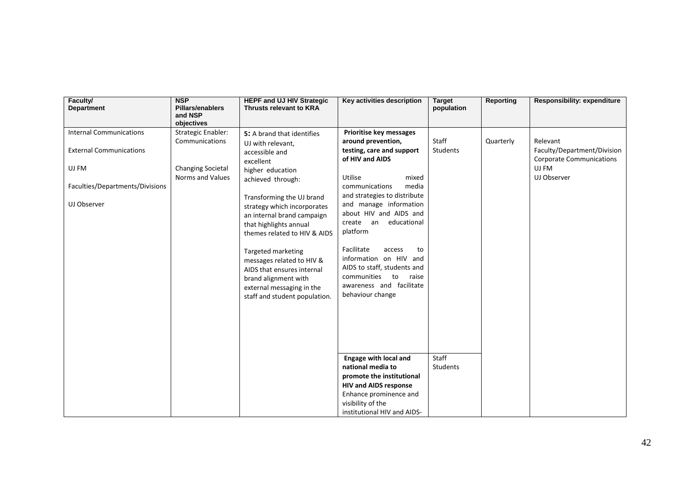| Faculty/<br><b>Department</b>   | <b>NSP</b><br><b>Pillars/enablers</b><br>and NSP<br>objectives | <b>HEPF and UJ HIV Strategic</b><br><b>Thrusts relevant to KRA</b>                                                                                                  | Key activities description                                                                                                                                        | <b>Target</b><br>population | <b>Reporting</b> | <b>Responsibility: expenditure</b> |
|---------------------------------|----------------------------------------------------------------|---------------------------------------------------------------------------------------------------------------------------------------------------------------------|-------------------------------------------------------------------------------------------------------------------------------------------------------------------|-----------------------------|------------------|------------------------------------|
| <b>Internal Communications</b>  | <b>Strategic Enabler:</b>                                      | 5: A brand that identifies                                                                                                                                          | Prioritise key messages                                                                                                                                           |                             |                  |                                    |
|                                 | Communications                                                 | UJ with relevant,                                                                                                                                                   | around prevention,                                                                                                                                                | Staff                       | Quarterly        | Relevant                           |
| <b>External Communications</b>  |                                                                | accessible and                                                                                                                                                      | testing, care and support                                                                                                                                         | <b>Students</b>             |                  | Faculty/Department/Division        |
|                                 |                                                                | excellent                                                                                                                                                           | of HIV and AIDS                                                                                                                                                   |                             |                  | <b>Corporate Communications</b>    |
| UJ FM                           | <b>Changing Societal</b>                                       | higher education                                                                                                                                                    |                                                                                                                                                                   |                             |                  | UJ FM                              |
|                                 | Norms and Values                                               | achieved through:                                                                                                                                                   | Utilise<br>mixed                                                                                                                                                  |                             |                  | UJ Observer                        |
| Faculties/Departments/Divisions |                                                                |                                                                                                                                                                     | media<br>communications                                                                                                                                           |                             |                  |                                    |
| UJ Observer                     |                                                                | Transforming the UJ brand<br>strategy which incorporates<br>an internal brand campaign<br>that highlights annual<br>themes related to HIV & AIDS                    | and strategies to distribute<br>and manage information<br>about HIV and AIDS and<br>educational<br>create an<br>platform                                          |                             |                  |                                    |
|                                 |                                                                | Targeted marketing<br>messages related to HIV &<br>AIDS that ensures internal<br>brand alignment with<br>external messaging in the<br>staff and student population. | Facilitate<br>access<br>to<br>information on HIV and<br>AIDS to staff, students and<br>communities<br>to<br>raise<br>awareness and facilitate<br>behaviour change |                             |                  |                                    |
|                                 |                                                                |                                                                                                                                                                     |                                                                                                                                                                   |                             |                  |                                    |
|                                 |                                                                |                                                                                                                                                                     | <b>Engage with local and</b>                                                                                                                                      | Staff                       |                  |                                    |
|                                 |                                                                |                                                                                                                                                                     | national media to                                                                                                                                                 | <b>Students</b>             |                  |                                    |
|                                 |                                                                |                                                                                                                                                                     | promote the institutional                                                                                                                                         |                             |                  |                                    |
|                                 |                                                                |                                                                                                                                                                     | <b>HIV and AIDS response</b>                                                                                                                                      |                             |                  |                                    |
|                                 |                                                                |                                                                                                                                                                     | Enhance prominence and                                                                                                                                            |                             |                  |                                    |
|                                 |                                                                |                                                                                                                                                                     | visibility of the                                                                                                                                                 |                             |                  |                                    |
|                                 |                                                                |                                                                                                                                                                     | institutional HIV and AIDS-                                                                                                                                       |                             |                  |                                    |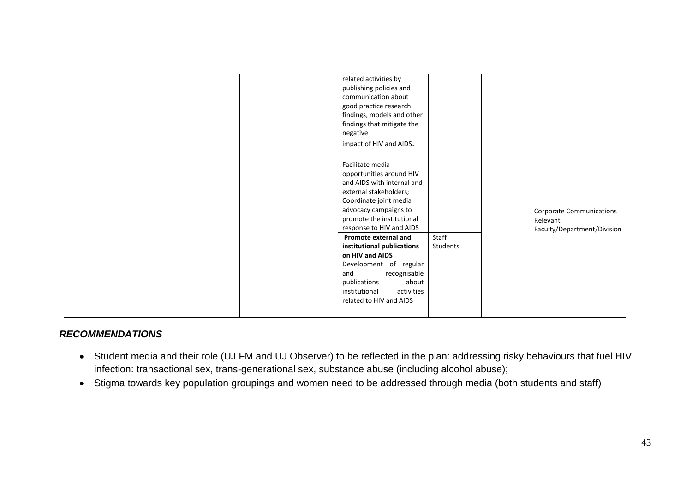|  | related activities by<br>publishing policies and |          |                                 |
|--|--------------------------------------------------|----------|---------------------------------|
|  | communication about                              |          |                                 |
|  | good practice research                           |          |                                 |
|  | findings, models and other                       |          |                                 |
|  | findings that mitigate the                       |          |                                 |
|  | negative                                         |          |                                 |
|  | impact of HIV and AIDS.                          |          |                                 |
|  |                                                  |          |                                 |
|  | Facilitate media                                 |          |                                 |
|  | opportunities around HIV                         |          |                                 |
|  | and AIDS with internal and                       |          |                                 |
|  | external stakeholders;                           |          |                                 |
|  | Coordinate joint media                           |          |                                 |
|  | advocacy campaigns to                            |          | <b>Corporate Communications</b> |
|  | promote the institutional                        |          | Relevant                        |
|  | response to HIV and AIDS                         |          | Faculty/Department/Division     |
|  | Promote external and                             | Staff    |                                 |
|  | institutional publications                       | Students |                                 |
|  | on HIV and AIDS                                  |          |                                 |
|  | Development of regular                           |          |                                 |
|  | recognisable<br>and                              |          |                                 |
|  | publications<br>about                            |          |                                 |
|  | activities<br>institutional                      |          |                                 |
|  | related to HIV and AIDS                          |          |                                 |
|  |                                                  |          |                                 |

#### *RECOMMENDATIONS*

- Student media and their role (UJ FM and UJ Observer) to be reflected in the plan: addressing risky behaviours that fuel HIV infection: transactional sex, trans-generational sex, substance abuse (including alcohol abuse);
- <span id="page-43-0"></span>Stigma towards key population groupings and women need to be addressed through media (both students and staff).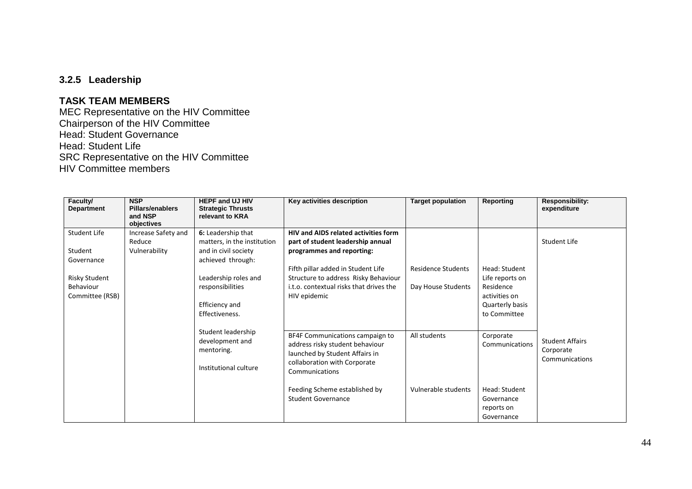#### **3.2.5 Leadership**

#### **TASK TEAM MEMBERS**

MEC Representative on the HIV Committee Chairperson of the HIV Committee Head: Student Governance Head: Student Life SRC Representative on the HIV Committee HIV Committee members

<span id="page-44-0"></span>

| Faculty/<br><b>Department</b>                                                          | <b>NSP</b><br>Pillars/enablers<br>and NSP<br>objectives | <b>HEPF and UJ HIV</b><br><b>Strategic Thrusts</b><br>relevant to KRA                                                                                                          | Key activities description                                                                                                                                                                                                                             | <b>Target population</b>                 | Reporting                                                                                         | <b>Responsibility:</b><br>expenditure                 |
|----------------------------------------------------------------------------------------|---------------------------------------------------------|--------------------------------------------------------------------------------------------------------------------------------------------------------------------------------|--------------------------------------------------------------------------------------------------------------------------------------------------------------------------------------------------------------------------------------------------------|------------------------------------------|---------------------------------------------------------------------------------------------------|-------------------------------------------------------|
| Student Life<br>Student<br>Governance<br>Risky Student<br>Behaviour<br>Committee (RSB) | Increase Safety and<br>Reduce<br>Vulnerability          | 6: Leadership that<br>matters, in the institution<br>and in civil society<br>achieved through:<br>Leadership roles and<br>responsibilities<br>Efficiency and<br>Effectiveness. | <b>HIV and AIDS related activities form</b><br>part of student leadership annual<br>programmes and reporting:<br>Fifth pillar added in Student Life<br>Structure to address Risky Behaviour<br>i.t.o. contextual risks that drives the<br>HIV epidemic | Residence Students<br>Day House Students | Head: Student<br>Life reports on<br>Residence<br>activities on<br>Quarterly basis<br>to Committee | Student Life                                          |
|                                                                                        |                                                         | Student leadership<br>development and<br>mentoring.<br>Institutional culture                                                                                                   | BF4F Communications campaign to<br>address risky student behaviour<br>launched by Student Affairs in<br>collaboration with Corporate<br>Communications<br>Feeding Scheme established by<br><b>Student Governance</b>                                   | All students<br>Vulnerable students      | Corporate<br>Communications<br>Head: Student<br>Governance<br>reports on<br>Governance            | <b>Student Affairs</b><br>Corporate<br>Communications |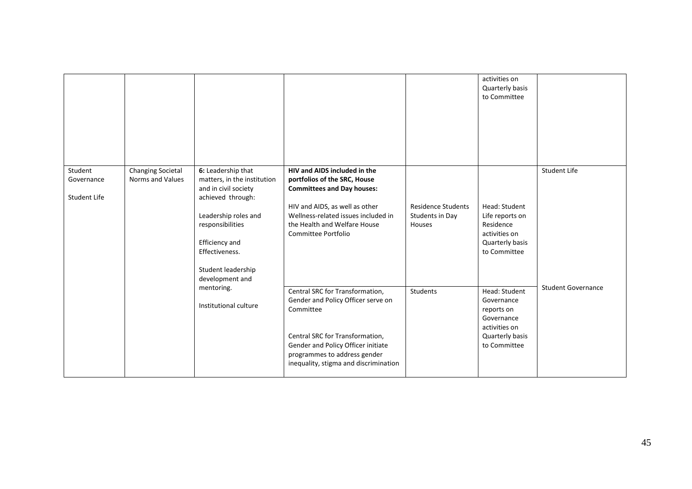|                                       |                                              |                                                                                                                                                                                                                         |                                                                                                                                                                                                                                      |                                                        | activities on<br>Quarterly basis<br>to Committee                                                            |                           |
|---------------------------------------|----------------------------------------------|-------------------------------------------------------------------------------------------------------------------------------------------------------------------------------------------------------------------------|--------------------------------------------------------------------------------------------------------------------------------------------------------------------------------------------------------------------------------------|--------------------------------------------------------|-------------------------------------------------------------------------------------------------------------|---------------------------|
| Student<br>Governance<br>Student Life | <b>Changing Societal</b><br>Norms and Values | 6: Leadership that<br>matters, in the institution<br>and in civil society<br>achieved through:<br>Leadership roles and<br>responsibilities<br>Efficiency and<br>Effectiveness.<br>Student leadership<br>development and | HIV and AIDS included in the<br>portfolios of the SRC, House<br><b>Committees and Day houses:</b><br>HIV and AIDS, as well as other<br>Wellness-related issues included in<br>the Health and Welfare House<br>Committee Portfolio    | <b>Residence Students</b><br>Students in Day<br>Houses | Head: Student<br>Life reports on<br>Residence<br>activities on<br>Quarterly basis<br>to Committee           | <b>Student Life</b>       |
|                                       |                                              | mentoring.<br>Institutional culture                                                                                                                                                                                     | Central SRC for Transformation,<br>Gender and Policy Officer serve on<br>Committee<br>Central SRC for Transformation,<br>Gender and Policy Officer initiate<br>programmes to address gender<br>inequality, stigma and discrimination | <b>Students</b>                                        | Head: Student<br>Governance<br>reports on<br>Governance<br>activities on<br>Quarterly basis<br>to Committee | <b>Student Governance</b> |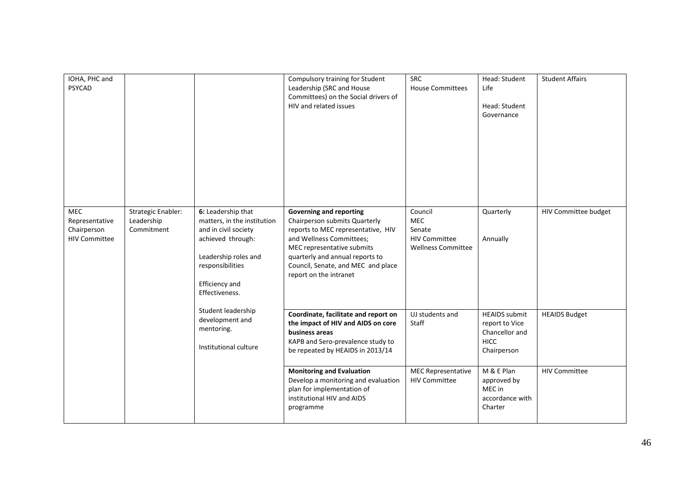| IOHA, PHC and<br><b>PSYCAD</b>                                      |                                                       |                                                                                                                                                                                | Compulsory training for Student<br>Leadership (SRC and House<br>Committees) on the Social drivers of<br>HIV and related issues                                                                                                                                     | SRC<br><b>House Committees</b>                                                | Head: Student<br>Life<br>Head: Student<br>Governance                                   | <b>Student Affairs</b> |
|---------------------------------------------------------------------|-------------------------------------------------------|--------------------------------------------------------------------------------------------------------------------------------------------------------------------------------|--------------------------------------------------------------------------------------------------------------------------------------------------------------------------------------------------------------------------------------------------------------------|-------------------------------------------------------------------------------|----------------------------------------------------------------------------------------|------------------------|
| <b>MEC</b><br>Representative<br>Chairperson<br><b>HIV Committee</b> | <b>Strategic Enabler:</b><br>Leadership<br>Commitment | 6: Leadership that<br>matters, in the institution<br>and in civil society<br>achieved through:<br>Leadership roles and<br>responsibilities<br>Efficiency and<br>Effectiveness. | <b>Governing and reporting</b><br>Chairperson submits Quarterly<br>reports to MEC representative, HIV<br>and Wellness Committees;<br>MEC representative submits<br>quarterly and annual reports to<br>Council, Senate, and MEC and place<br>report on the intranet | Council<br>MEC<br>Senate<br><b>HIV Committee</b><br><b>Wellness Committee</b> | Quarterly<br>Annually                                                                  | HIV Committee budget   |
|                                                                     |                                                       | Student leadership<br>development and<br>mentoring.<br>Institutional culture                                                                                                   | Coordinate, facilitate and report on<br>the impact of HIV and AIDS on core<br>business areas<br>KAPB and Sero-prevalence study to<br>be repeated by HEAIDS in 2013/14                                                                                              | UJ students and<br>Staff                                                      | <b>HEAIDS</b> submit<br>report to Vice<br>Chancellor and<br><b>HICC</b><br>Chairperson | <b>HEAIDS Budget</b>   |
|                                                                     |                                                       |                                                                                                                                                                                | <b>Monitoring and Evaluation</b><br>Develop a monitoring and evaluation<br>plan for implementation of<br>institutional HIV and AIDS<br>programme                                                                                                                   | <b>MEC Representative</b><br><b>HIV Committee</b>                             | M & E Plan<br>approved by<br>MEC in<br>accordance with<br>Charter                      | <b>HIV Committee</b>   |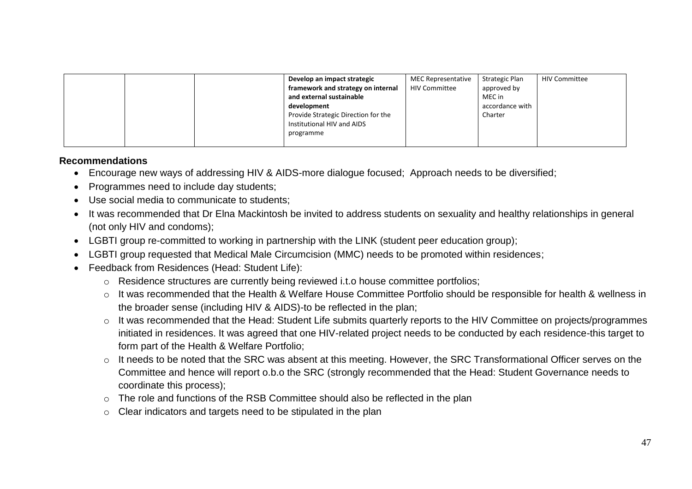|  | Develop an impact strategic         | <b>MEC Representative</b> | Strategic Plan  | <b>HIV Committee</b> |
|--|-------------------------------------|---------------------------|-----------------|----------------------|
|  | framework and strategy on internal  | <b>HIV Committee</b>      | approved by     |                      |
|  | and external sustainable            |                           | MEC in          |                      |
|  | development                         |                           | accordance with |                      |
|  | Provide Strategic Direction for the |                           | Charter         |                      |
|  | Institutional HIV and AIDS          |                           |                 |                      |
|  | programme                           |                           |                 |                      |
|  |                                     |                           |                 |                      |

#### **Recommendations**

- Encourage new ways of addressing HIV & AIDS-more dialogue focused; Approach needs to be diversified;
- Programmes need to include day students;
- Use social media to communicate to students;
- It was recommended that Dr Elna Mackintosh be invited to address students on sexuality and healthy relationships in general (not only HIV and condoms);
- LGBTI group re-committed to working in partnership with the LINK (student peer education group);
- LGBTI group requested that Medical Male Circumcision (MMC) needs to be promoted within residences;
- <span id="page-47-0"></span> Feedback from Residences (Head: Student Life):
	- o Residence structures are currently being reviewed i.t.o house committee portfolios;
	- o It was recommended that the Health & Welfare House Committee Portfolio should be responsible for health & wellness in the broader sense (including HIV & AIDS)-to be reflected in the plan;
	- o It was recommended that the Head: Student Life submits quarterly reports to the HIV Committee on projects/programmes initiated in residences. It was agreed that one HIV-related project needs to be conducted by each residence-this target to form part of the Health & Welfare Portfolio;
	- o It needs to be noted that the SRC was absent at this meeting. However, the SRC Transformational Officer serves on the Committee and hence will report o.b.o the SRC (strongly recommended that the Head: Student Governance needs to coordinate this process);
	- o The role and functions of the RSB Committee should also be reflected in the plan
	- o Clear indicators and targets need to be stipulated in the plan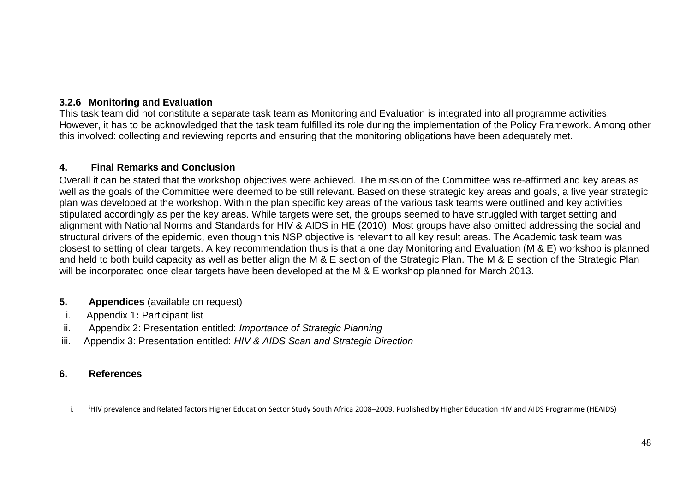### **3.2.6 Monitoring and Evaluation**

This task team did not constitute a separate task team as Monitoring and Evaluation is integrated into all programme activities. However, it has to be acknowledged that the task team fulfilled its role during the implementation of the Policy Framework. Among other this involved: collecting and reviewing reports and ensuring that the monitoring obligations have been adequately met.

### **4. Final Remarks and Conclusion**

Overall it can be stated that the workshop objectives were achieved. The mission of the Committee was re-affirmed and key areas as well as the goals of the Committee were deemed to be still relevant. Based on these strategic key areas and goals, a five year strategic plan was developed at the workshop. Within the plan specific key areas of the various task teams were outlined and key activities stipulated accordingly as per the key areas. While targets were set, the groups seemed to have struggled with target setting and alignment with National Norms and Standards for HIV & AIDS in HE (2010). Most groups have also omitted addressing the social and structural drivers of the epidemic, even though this NSP objective is relevant to all key result areas. The Academic task team was closest to setting of clear targets. A key recommendation thus is that a one day Monitoring and Evaluation (M & E) workshop is planned and held to both build capacity as well as better align the M & E section of the Strategic Plan. The M & E section of the Strategic Plan will be incorporated once clear targets have been developed at the M & E workshop planned for March 2013.

#### **5. Appendices** (available on request)

- i. Appendix 1**:** Participant list
- ii. Appendix 2: Presentation entitled: *Importance of Strategic Planning*
- <span id="page-48-0"></span>iii.Appendix 3: Presentation entitled: *HIV & AIDS Scan and Strategic Direction*

#### **6. References**

 $\overline{a}$ 

<span id="page-48-5"></span><span id="page-48-4"></span><span id="page-48-3"></span><span id="page-48-2"></span><span id="page-48-1"></span>i. <sup>i</sup>HIV prevalence and Related factors Higher Education Sector Study South Africa 2008–2009. Published by Higher Education HIV and AIDS Programme (HEAIDS)